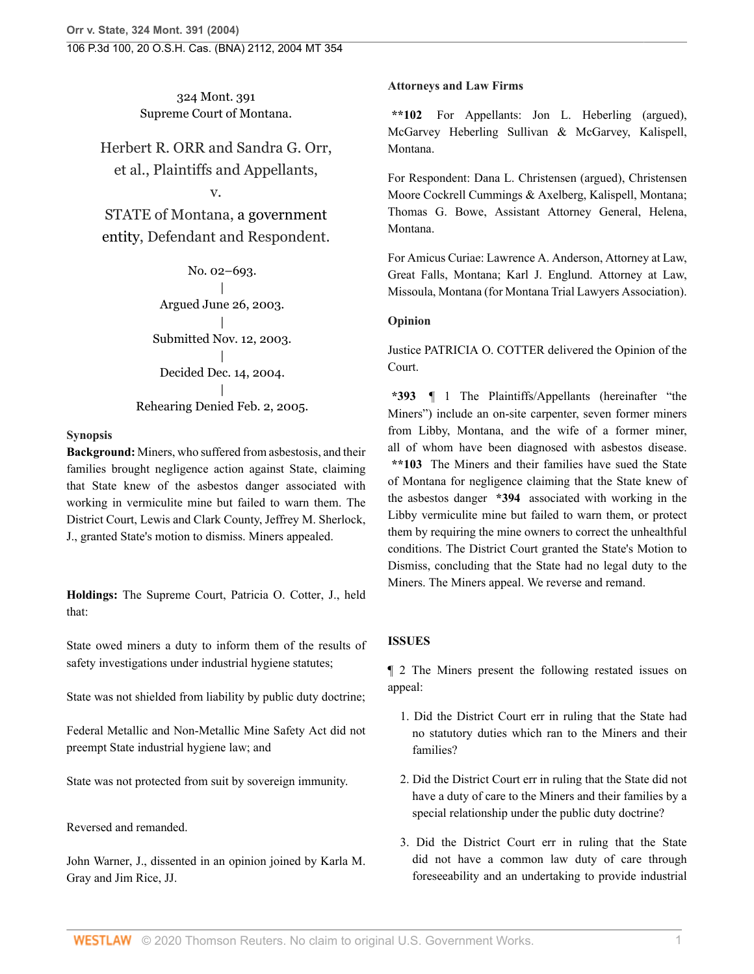324 Mont. 391 Supreme Court of Montana.

Herbert R. ORR and Sandra G. Orr, et al., Plaintiffs and Appellants,

v.

STATE of Montana, [a government](http://www.westlaw.com/Search/Results.html?query=advanced%3a+OAID(5013308962)&saveJuris=False&contentType=BUSINESS-INVESTIGATOR&startIndex=1&contextData=(sc.Default)&categoryPageUrl=Home%2fCompanyInvestigator&originationContext=document&vr=3.0&rs=cblt1.0&transitionType=DocumentItem) [entity,](http://www.westlaw.com/Search/Results.html?query=advanced%3a+OAID(5013308962)&saveJuris=False&contentType=BUSINESS-INVESTIGATOR&startIndex=1&contextData=(sc.Default)&categoryPageUrl=Home%2fCompanyInvestigator&originationContext=document&vr=3.0&rs=cblt1.0&transitionType=DocumentItem) Defendant and Respondent.

> No. 02–693. | Argued June 26, 2003. | Submitted Nov. 12, 2003. | Decided Dec. 14, 2004. | Rehearing Denied Feb. 2, 2005.

# **Synopsis**

**Background:** Miners, who suffered from asbestosis, and their families brought negligence action against State, claiming that State knew of the asbestos danger associated with working in vermiculite mine but failed to warn them. The District Court, Lewis and Clark County, [Jeffrey M. Sherlock](http://www.westlaw.com/Link/Document/FullText?findType=h&pubNum=176284&cite=0158396002&originatingDoc=I41a70aa7f79e11d99439b076ef9ec4de&refType=RQ&originationContext=document&vr=3.0&rs=cblt1.0&transitionType=DocumentItem&contextData=(sc.Search)), J., granted State's motion to dismiss. Miners appealed.

**Holdings:** The Supreme Court, [Patricia O. Cotter,](http://www.westlaw.com/Link/Document/FullText?findType=h&pubNum=176284&cite=0186560901&originatingDoc=I41a70aa7f79e11d99439b076ef9ec4de&refType=RQ&originationContext=document&vr=3.0&rs=cblt1.0&transitionType=DocumentItem&contextData=(sc.Search)) J., held that:

State owed miners a duty to inform them of the results of safety investigations under industrial hygiene statutes;

State was not shielded from liability by public duty doctrine;

Federal Metallic and Non-Metallic Mine Safety Act did not preempt State industrial hygiene law; and

State was not protected from suit by sovereign immunity.

Reversed and remanded.

[John Warner](http://www.westlaw.com/Link/Document/FullText?findType=h&pubNum=176284&cite=0316888601&originatingDoc=I41a70aa7f79e11d99439b076ef9ec4de&refType=RQ&originationContext=document&vr=3.0&rs=cblt1.0&transitionType=DocumentItem&contextData=(sc.Search)), J., dissented in an opinion joined by [Karla M.](http://www.westlaw.com/Link/Document/FullText?findType=h&pubNum=176284&cite=0141245001&originatingDoc=I41a70aa7f79e11d99439b076ef9ec4de&refType=RQ&originationContext=document&vr=3.0&rs=cblt1.0&transitionType=DocumentItem&contextData=(sc.Search)) [Gray](http://www.westlaw.com/Link/Document/FullText?findType=h&pubNum=176284&cite=0141245001&originatingDoc=I41a70aa7f79e11d99439b076ef9ec4de&refType=RQ&originationContext=document&vr=3.0&rs=cblt1.0&transitionType=DocumentItem&contextData=(sc.Search)) and [Jim Rice,](http://www.westlaw.com/Link/Document/FullText?findType=h&pubNum=176284&cite=0133261001&originatingDoc=I41a70aa7f79e11d99439b076ef9ec4de&refType=RQ&originationContext=document&vr=3.0&rs=cblt1.0&transitionType=DocumentItem&contextData=(sc.Search)) JJ.

# **Attorneys and Law Firms**

**\*\*102** For Appellants: [Jon L. Heberling](http://www.westlaw.com/Link/Document/FullText?findType=h&pubNum=176284&cite=0168120901&originatingDoc=I41a70aa7f79e11d99439b076ef9ec4de&refType=RQ&originationContext=document&vr=3.0&rs=cblt1.0&transitionType=DocumentItem&contextData=(sc.Search)) (argued), McGarvey Heberling Sullivan & McGarvey, Kalispell, Montana.

For Respondent: [Dana L. Christensen](http://www.westlaw.com/Link/Document/FullText?findType=h&pubNum=176284&cite=0369676601&originatingDoc=I41a70aa7f79e11d99439b076ef9ec4de&refType=RQ&originationContext=document&vr=3.0&rs=cblt1.0&transitionType=DocumentItem&contextData=(sc.Search)) (argued), Christensen Moore Cockrell Cummings & Axelberg, Kalispell, Montana; [Thomas G. Bowe,](http://www.westlaw.com/Link/Document/FullText?findType=h&pubNum=176284&cite=0158393901&originatingDoc=I41a70aa7f79e11d99439b076ef9ec4de&refType=RQ&originationContext=document&vr=3.0&rs=cblt1.0&transitionType=DocumentItem&contextData=(sc.Search)) Assistant Attorney General, Helena, Montana.

For Amicus Curiae: [Lawrence A. Anderson](http://www.westlaw.com/Link/Document/FullText?findType=h&pubNum=176284&cite=0153327601&originatingDoc=I41a70aa7f79e11d99439b076ef9ec4de&refType=RQ&originationContext=document&vr=3.0&rs=cblt1.0&transitionType=DocumentItem&contextData=(sc.Search)), Attorney at Law, Great Falls, Montana; [Karl J. Englund](http://www.westlaw.com/Link/Document/FullText?findType=h&pubNum=176284&cite=0419880701&originatingDoc=I41a70aa7f79e11d99439b076ef9ec4de&refType=RQ&originationContext=document&vr=3.0&rs=cblt1.0&transitionType=DocumentItem&contextData=(sc.Search)). Attorney at Law, Missoula, Montana (for Montana Trial Lawyers Association).

# **Opinion**

Justice [PATRICIA O. COTTER](http://www.westlaw.com/Link/Document/FullText?findType=h&pubNum=176284&cite=0186560901&originatingDoc=I41a70aa7f79e11d99439b076ef9ec4de&refType=RQ&originationContext=document&vr=3.0&rs=cblt1.0&transitionType=DocumentItem&contextData=(sc.Search)) delivered the Opinion of the Court.

**\*393** ¶ 1 The Plaintiffs/Appellants (hereinafter "the Miners") include an on-site carpenter, seven former miners from Libby, Montana, and the wife of a former miner, all of whom have been diagnosed with asbestos disease. **\*\*103** The Miners and their families have sued the State of Montana for negligence claiming that the State knew of the asbestos danger **\*394** associated with working in the Libby vermiculite mine but failed to warn them, or protect them by requiring the mine owners to correct the unhealthful conditions. The District Court granted the State's Motion to Dismiss, concluding that the State had no legal duty to the Miners. The Miners appeal. We reverse and remand.

# **ISSUES**

¶ 2 The Miners present the following restated issues on appeal:

- 1. Did the District Court err in ruling that the State had no statutory duties which ran to the Miners and their families?
- 2. Did the District Court err in ruling that the State did not have a duty of care to the Miners and their families by a special relationship under the public duty doctrine?
- 3. Did the District Court err in ruling that the State did not have a common law duty of care through foreseeability and an undertaking to provide industrial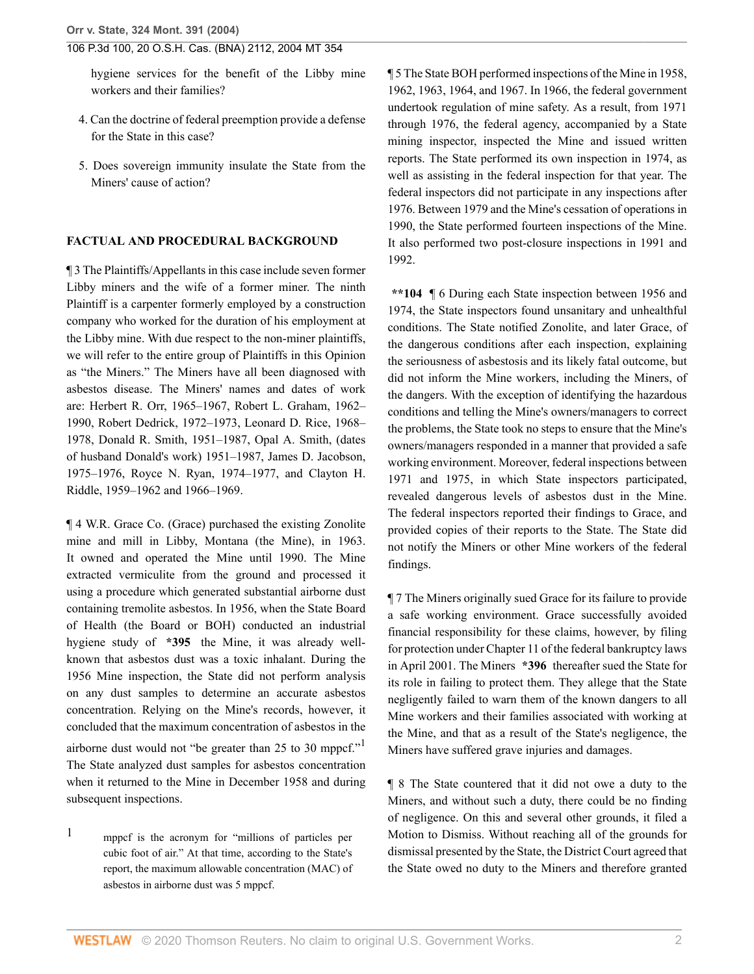hygiene services for the benefit of the Libby mine workers and their families?

- 4. Can the doctrine of federal preemption provide a defense for the State in this case?
- 5. Does sovereign immunity insulate the State from the Miners' cause of action?

### **FACTUAL AND PROCEDURAL BACKGROUND**

¶ 3 The Plaintiffs/Appellants in this case include seven former Libby miners and the wife of a former miner. The ninth Plaintiff is a carpenter formerly employed by a construction company who worked for the duration of his employment at the Libby mine. With due respect to the non-miner plaintiffs, we will refer to the entire group of Plaintiffs in this Opinion as "the Miners." The Miners have all been diagnosed with asbestos disease. The Miners' [names](http://www.westlaw.com/Link/Document/FullText?entityType=disease&entityId=Ic9d53668475411db9765f9243f53508a&originationContext=document&transitionType=DocumentItem&contextData=(sc.Default)&vr=3.0&rs=cblt1.0) and dates of work are: Herbert R. Orr, 1965–1967, Robert L. Graham, 1962– 1990, Robert Dedrick, 1972–1973, Leonard D. Rice, 1968– 1978, Donald R. Smith, 1951–1987, Opal A. Smith, (dates of husband Donald's work) 1951–1987, James D. Jacobson, 1975–1976, Royce N. Ryan, 1974–1977, and Clayton H. Riddle, 1959–1962 and 1966–1969.

¶ 4 W.R. Grace Co. (Grace) purchased the existing Zonolite mine and mill in Libby, Montana (the Mine), in 1963. It owned and operated the Mine until 1990. The Mine extracted vermiculite from the ground and processed it using a procedure which generated substantial airborne dust containing tremolite asbestos. In 1956, when the State Board of Health (the Board or BOH) conducted an industrial hygiene study of **\*395** the Mine, it was already wellknown that asbestos dust was a toxic inhalant. During the 1956 Mine inspection, the State did not perform analysis on any dust samples to determine an accurate asbestos concentration. Relying on the Mine's records, however, it concluded that the maximum concentration of asbestos in the airborne dust would not "be greater than 25 to 30 mppcf."<sup>[1](#page-1-0)</sup> The State analyzed dust samples for asbestos concentration when it returned to the Mine in December 1958 and during subsequent inspections.

<span id="page-1-0"></span>[1](#page-1-1) mppcf is the acronym for "millions of particles per cubic foot of air." At that time, according to the State's report, the maximum allowable concentration (MAC) of asbestos in airborne dust was 5 mppcf.

¶ 5 The State BOH performed inspections of the Mine in 1958, 1962, 1963, 1964, and 1967. In 1966, the federal government undertook regulation of mine safety. As a result, from 1971 through 1976, the federal agency, accompanied by a State mining inspector, inspected the Mine and issued written reports. The State performed its own inspection in 1974, as well as assisting in the federal inspection for that year. The federal inspectors did not participate in any inspections after 1976. Between 1979 and the Mine's cessation of operations in 1990, the State performed fourteen inspections of the Mine. It also performed two post-closure inspections in 1991 and 1992.

**\*\*104** ¶ 6 During each State inspection between 1956 and 1974, the State inspectors found unsanitary and unhealthful conditions. The State notified Zonolite, and later Grace, of the dangerous conditions after each inspection, explaining the seriousness of [asbestosis](http://www.westlaw.com/Link/Document/FullText?entityType=disease&entityId=Ic280891e475411db9765f9243f53508a&originationContext=document&transitionType=DocumentItem&contextData=(sc.Default)&vr=3.0&rs=cblt1.0) and its likely fatal outcome, but did not inform the Mine workers, including the Miners, of the dangers. With the exception of identifying the hazardous conditions and telling the Mine's owners/managers to correct the problems, the State took no steps to ensure that the Mine's owners/managers responded in a manner that provided a safe working environment. Moreover, federal inspections between 1971 and 1975, in which State inspectors participated, revealed dangerous levels of asbestos dust in the Mine. The federal inspectors reported their findings to Grace, and provided copies of their reports to the State. The State did not notify the Miners or other Mine workers of the federal findings.

¶ 7 The Miners originally sued Grace for its failure to provide a safe working environment. Grace successfully avoided financial responsibility for these claims, however, by filing for protection under Chapter 11 of the federal bankruptcy laws in April 2001. The Miners **\*396** thereafter sued the State for its role in failing to protect them. They allege that the State negligently failed to warn them of the known dangers to all Mine workers and their families associated with working at the Mine, and that as a result of the State's negligence, the Miners have suffered grave injuries and damages.

<span id="page-1-1"></span>¶ 8 The State countered that it did not owe a duty to the Miners, and without such a duty, there could be no finding of negligence. On this and several other grounds, it filed a Motion to Dismiss. Without reaching all of the grounds for dismissal presented by the State, the District Court agreed that the State owed no duty to the Miners and therefore granted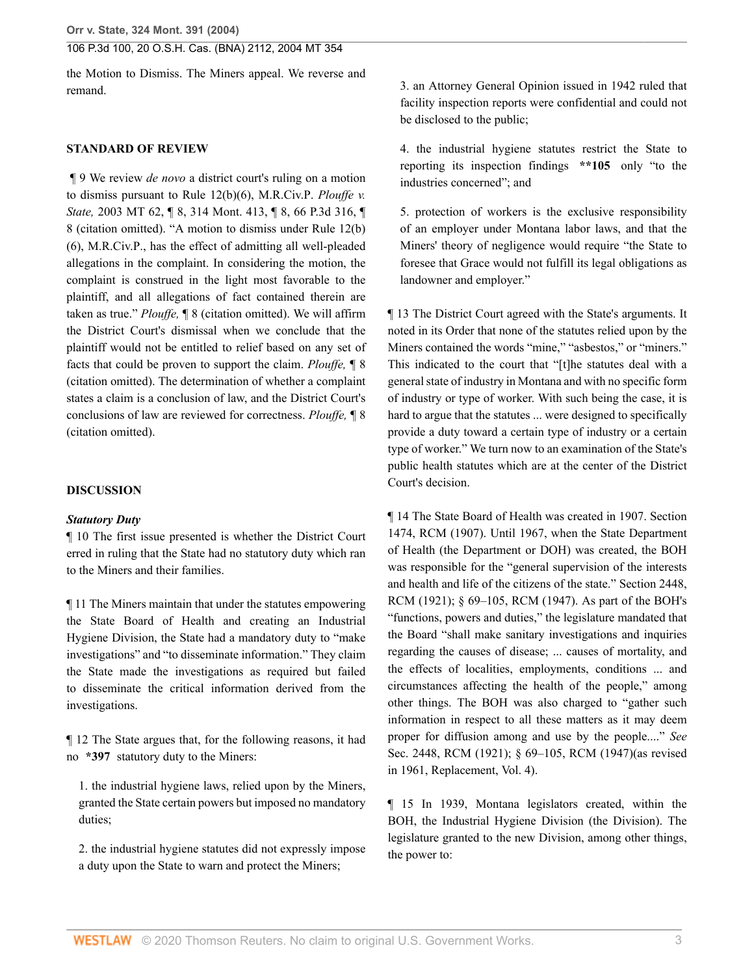the Motion to Dismiss. The Miners appeal. We reverse and remand.

#### **STANDARD OF REVIEW**

 ¶ 9 We review *de novo* a district court's ruling on a motion to dismiss pursuant to [Rule 12\(b\)\(6\), M.R.Civ.P](http://www.westlaw.com/Link/Document/FullText?findType=L&pubNum=1006803&cite=MTRRCPR12(B)&originatingDoc=I41a70aa7f79e11d99439b076ef9ec4de&refType=LQ&originationContext=document&vr=3.0&rs=cblt1.0&transitionType=DocumentItem&contextData=(sc.Search)). *[Plouffe v.](http://www.westlaw.com/Link/Document/FullText?findType=Y&serNum=2003244083&pubNum=0004645&originatingDoc=I41a70aa7f79e11d99439b076ef9ec4de&refType=RP&originationContext=document&vr=3.0&rs=cblt1.0&transitionType=DocumentItem&contextData=(sc.Search)) State,* [2003 MT 62, ¶ 8, 314 Mont. 413, ¶ 8, 66 P.3d 316, ¶](http://www.westlaw.com/Link/Document/FullText?findType=Y&serNum=2003244083&pubNum=0004645&originatingDoc=I41a70aa7f79e11d99439b076ef9ec4de&refType=RP&originationContext=document&vr=3.0&rs=cblt1.0&transitionType=DocumentItem&contextData=(sc.Search)) [8](http://www.westlaw.com/Link/Document/FullText?findType=Y&serNum=2003244083&pubNum=0004645&originatingDoc=I41a70aa7f79e11d99439b076ef9ec4de&refType=RP&originationContext=document&vr=3.0&rs=cblt1.0&transitionType=DocumentItem&contextData=(sc.Search)) (citation omitted). "A motion to dismiss under [Rule 12\(b\)](http://www.westlaw.com/Link/Document/FullText?findType=L&pubNum=1006803&cite=MTRRCPR12(B)&originatingDoc=I41a70aa7f79e11d99439b076ef9ec4de&refType=LQ&originationContext=document&vr=3.0&rs=cblt1.0&transitionType=DocumentItem&contextData=(sc.Search)) [\(6\), M.R.Civ.P.](http://www.westlaw.com/Link/Document/FullText?findType=L&pubNum=1006803&cite=MTRRCPR12(B)&originatingDoc=I41a70aa7f79e11d99439b076ef9ec4de&refType=LQ&originationContext=document&vr=3.0&rs=cblt1.0&transitionType=DocumentItem&contextData=(sc.Search)), has the effect of admitting all well-pleaded allegations in the complaint. In considering the motion, the complaint is construed in the light most favorable to the plaintiff, and all allegations of fact contained therein are taken as true." *Plouffe,* ¶ 8 (citation omitted). We will affirm the District Court's dismissal when we conclude that the plaintiff would not be entitled to relief based on any set of facts that could be proven to support the claim. *Plouffe,* ¶ 8 (citation omitted). The determination of whether a complaint states a claim is a conclusion of law, and the District Court's conclusions of law are reviewed for correctness. *Plouffe,* ¶ 8 (citation omitted).

#### **DISCUSSION**

### *Statutory Duty*

¶ 10 The first issue presented is whether the District Court erred in ruling that the State had no statutory duty which ran to the Miners and their families.

¶ 11 The Miners maintain that under the statutes empowering the State Board of Health and creating an Industrial Hygiene Division, the State had a mandatory duty to "make investigations" and "to disseminate information." They claim the State made the investigations as required but failed to disseminate the critical information derived from the investigations.

¶ 12 The State argues that, for the following reasons, it had no **\*397** statutory duty to the Miners:

1. the industrial hygiene laws, relied upon by the Miners, granted the State certain powers but imposed no mandatory duties;

2. the industrial hygiene statutes did not expressly impose a duty upon the State to warn and protect the Miners;

3. an Attorney General Opinion issued in 1942 ruled that facility inspection reports were confidential and could not be disclosed to the public;

4. the industrial hygiene statutes restrict the State to reporting its inspection findings **\*\*105** only "to the industries concerned"; and

5. protection of workers is the exclusive responsibility of an employer under Montana labor laws, and that the Miners' theory of negligence would require "the State to foresee that Grace would not fulfill its legal obligations as landowner and employer."

¶ 13 The District Court agreed with the State's arguments. It noted in its Order that none of the statutes relied upon by the Miners contained the words "mine," "asbestos," or "miners." This indicated to the court that "[t]he statutes deal with a general state of industry in Montana and with no specific form of industry or type of worker. With such being the case, it is hard to argue that the statutes ... were designed to specifically provide a duty toward a certain type of industry or a certain type of worker." We turn now to an examination of the State's public health statutes which are at the center of the District Court's decision.

¶ 14 The State Board of Health was created in 1907. Section 1474, RCM (1907). Until 1967, when the State Department of Health (the Department or DOH) was created, the BOH was responsible for the "general supervision of the interests and health and life of the citizens of the state." Section 2448, RCM (1921); § 69–105, RCM (1947). As part of the BOH's "functions, powers and duties," the legislature mandated that the Board "shall make sanitary investigations and inquiries regarding the causes of disease; ... causes of mortality, and the effects of localities, employments, conditions ... and circumstances affecting the health of the people," among other things. The BOH was also charged to "gather such information in respect to all these matters as it may deem proper for diffusion among and use by the people...." *See* Sec. 2448, RCM (1921); § 69–105, RCM (1947)(as revised in 1961, Replacement, Vol. 4).

¶ 15 In 1939, Montana legislators created, within the BOH, the Industrial Hygiene Division (the Division). The legislature granted to the new Division, among other things, the power to: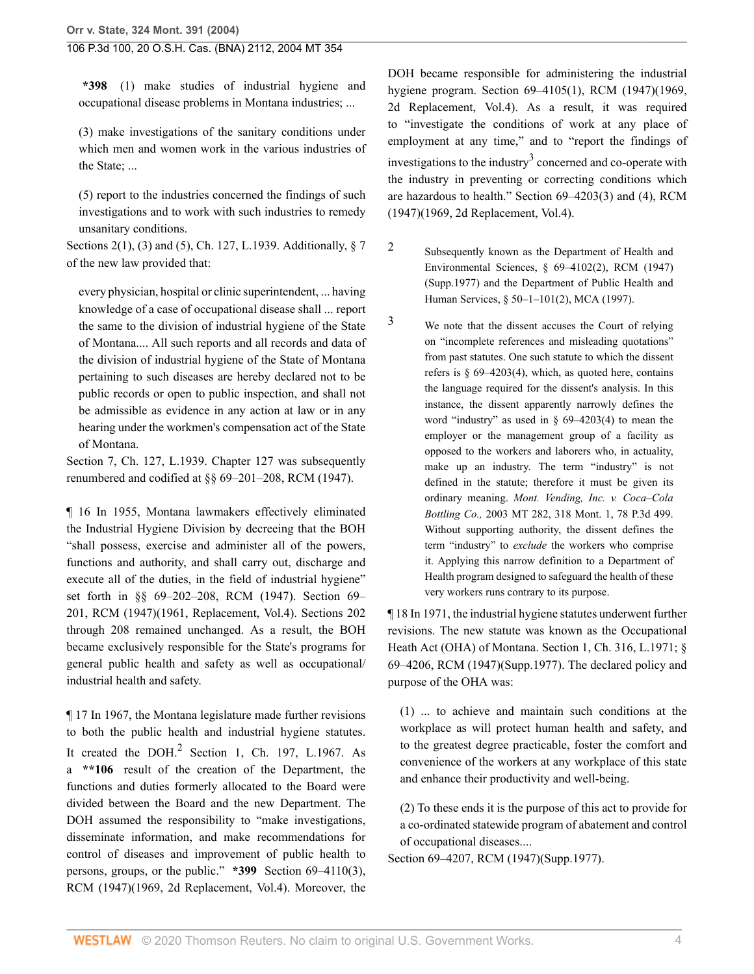**\*398** (1) make studies of industrial hygiene and occupational disease problems in Montana industries; ...

(3) make investigations of the sanitary conditions under which men and women work in the various industries of the State; ...

(5) report to the industries concerned the findings of such investigations and to work with such industries to remedy unsanitary conditions.

Sections 2(1), (3) and (5), Ch. 127, L.1939. Additionally, § 7 of the new law provided that:

every physician, hospital or clinic superintendent, ... having knowledge of a case of occupational disease shall ... report the same to the division of industrial hygiene of the State of Montana.... All such reports and all records and data of the division of industrial hygiene of the State of Montana pertaining to such diseases are hereby declared not to be public records or open to public inspection, and shall not be admissible as evidence in any action at law or in any hearing under the workmen's compensation act of the State of Montana.

Section 7, Ch. 127, L.1939. Chapter 127 was subsequently renumbered and codified at §§ 69–201–208, RCM (1947).

¶ 16 In 1955, Montana lawmakers effectively eliminated the Industrial Hygiene Division by decreeing that the BOH "shall possess, exercise and administer all of the powers, functions and authority, and shall carry out, discharge and execute all of the duties, in the field of industrial hygiene" set forth in §§ 69–202–208, RCM (1947). Section 69– 201, RCM (1947)(1961, Replacement, Vol.4). Sections 202 through 208 remained unchanged. As a result, the BOH became exclusively responsible for the State's programs for general public health and safety as well as occupational/ industrial health and safety.

<span id="page-3-2"></span>¶ 17 In 1967, the Montana legislature made further revisions to both the public health and industrial hygiene statutes. It created the  $DOH<sup>2</sup>$  $DOH<sup>2</sup>$  $DOH<sup>2</sup>$  Section 1, Ch. 197, L.1967. As a **\*\*106** result of the creation of the Department, the functions and duties formerly allocated to the Board were divided between the Board and the new Department. The DOH assumed the responsibility to "make investigations, disseminate information, and make recommendations for control of diseases and improvement of public health to persons, groups, or the public." **\*399** Section 69–4110(3), RCM (1947)(1969, 2d Replacement, Vol.4). Moreover, the

<span id="page-3-3"></span>DOH became responsible for administering the industrial hygiene program. Section 69–4105(1), RCM (1947)(1969, 2d Replacement, Vol.4). As a result, it was required to "investigate the conditions of work at any place of employment at any time," and to "report the findings of investigations to the industry<sup>[3](#page-3-1)</sup> concerned and co-operate with the industry in preventing or correcting conditions which are hazardous to health." Section 69–4203(3) and (4), RCM (1947)(1969, 2d Replacement, Vol.4).

- <span id="page-3-0"></span>[2](#page-3-2) Subsequently known as the Department of Health and Environmental Sciences, § 69–4102(2), RCM (1947) (Supp.1977) and the Department of Public Health and Human Services, [§ 50–1–101\(2\), MCA \(1997\)](http://www.westlaw.com/Link/Document/FullText?findType=L&pubNum=1002018&cite=MTST50-1-101&originatingDoc=I41a70aa7f79e11d99439b076ef9ec4de&refType=SP&originationContext=document&vr=3.0&rs=cblt1.0&transitionType=DocumentItem&contextData=(sc.Search)#co_pp_58730000872b1).
- <span id="page-3-1"></span>[3](#page-3-3) We note that the dissent accuses the Court of relying on "incomplete references and misleading quotations" from past statutes. One such statute to which the dissent refers is  $\S$  69–4203(4), which, as quoted here, contains the language required for the dissent's analysis. In this instance, the dissent apparently narrowly defines the word "industry" as used in  $\S$  69–4203(4) to mean the employer or the management group of a facility as opposed to the workers and laborers who, in actuality, make up an industry. The term "industry" is not defined in the statute; therefore it must be given its ordinary meaning. *[Mont. Vending, Inc. v. Coca–Cola](http://www.westlaw.com/Link/Document/FullText?findType=Y&serNum=2003697096&pubNum=4645&originatingDoc=I41a70aa7f79e11d99439b076ef9ec4de&refType=RP&originationContext=document&vr=3.0&rs=cblt1.0&transitionType=DocumentItem&contextData=(sc.Search)) Bottling Co.,* [2003 MT 282, 318 Mont. 1, 78 P.3d 499.](http://www.westlaw.com/Link/Document/FullText?findType=Y&serNum=2003697096&pubNum=4645&originatingDoc=I41a70aa7f79e11d99439b076ef9ec4de&refType=RP&originationContext=document&vr=3.0&rs=cblt1.0&transitionType=DocumentItem&contextData=(sc.Search)) Without supporting authority, the dissent defines the term "industry" to *exclude* the workers who comprise it. Applying this narrow definition to a Department of Health program designed to safeguard the health of these very workers runs contrary to its purpose.

¶ 18 In 1971, the industrial hygiene statutes underwent further revisions. The new statute was known as the Occupational Heath Act (OHA) of Montana. Section 1, Ch. 316, L.1971; § 69–4206, RCM (1947)(Supp.1977). The declared policy and purpose of the OHA was:

(1) ... to achieve and maintain such conditions at the workplace as will protect human health and safety, and to the greatest degree practicable, foster the comfort and convenience of the workers at any workplace of this state and enhance their productivity and well-being.

(2) To these ends it is the purpose of this act to provide for a co-ordinated statewide program of abatement and control of occupational diseases....

Section 69–4207, RCM (1947)(Supp.1977).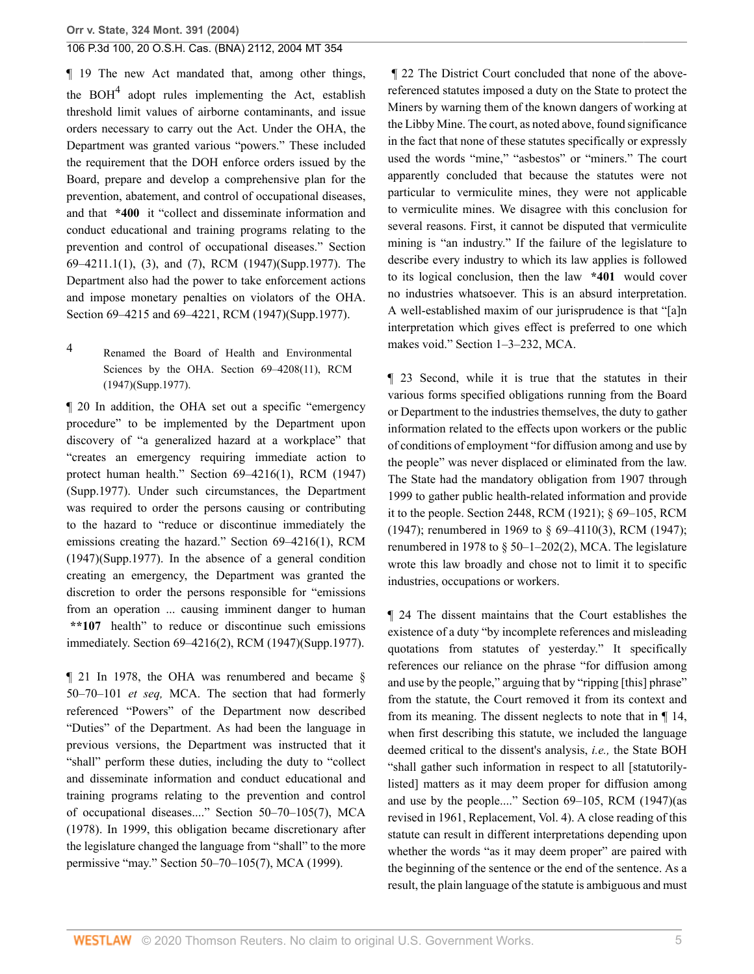<span id="page-4-1"></span>¶ 19 The new Act mandated that, among other things, the  $BOH<sup>4</sup>$  $BOH<sup>4</sup>$  $BOH<sup>4</sup>$  adopt rules implementing the Act, establish threshold limit values of airborne contaminants, and issue orders necessary to carry out the Act. Under the OHA, the Department was granted various "powers." These included the requirement that the DOH enforce orders issued by the Board, prepare and develop a comprehensive plan for the prevention, abatement, and control of occupational diseases, and that **\*400** it "collect and disseminate information and conduct educational and training programs relating to the prevention and control of occupational diseases." Section 69–4211.1(1), (3), and (7), RCM (1947)(Supp.1977). The Department also had the power to take enforcement actions and impose monetary penalties on violators of the OHA. Section 69–4215 and 69–4221, RCM (1947)(Supp.1977).

<span id="page-4-0"></span>[4](#page-4-1) Renamed the Board of Health and Environmental Sciences by the OHA. Section 69–4208(11), RCM (1947)(Supp.1977).

¶ 20 In addition, the OHA set out a specific "emergency procedure" to be implemented by the Department upon discovery of "a generalized hazard at a workplace" that "creates an emergency requiring immediate action to protect human health." Section 69–4216(1), RCM (1947) (Supp.1977). Under such circumstances, the Department was required to order the persons causing or contributing to the hazard to "reduce or discontinue immediately the emissions creating the hazard." Section 69–4216(1), RCM (1947)(Supp.1977). In the absence of a general condition creating an emergency, the Department was granted the discretion to order the persons responsible for "emissions from an operation ... causing imminent danger to human **\*\*107** health" to reduce or discontinue such emissions immediately. Section 69–4216(2), RCM (1947)(Supp.1977).

¶ 21 In 1978, the OHA was renumbered and became [§](http://www.westlaw.com/Link/Document/FullText?findType=L&pubNum=1002018&cite=MTST50-70-101&originatingDoc=I41a70aa7f79e11d99439b076ef9ec4de&refType=LQ&originationContext=document&vr=3.0&rs=cblt1.0&transitionType=DocumentItem&contextData=(sc.Search)) [50–70–101](http://www.westlaw.com/Link/Document/FullText?findType=L&pubNum=1002018&cite=MTST50-70-101&originatingDoc=I41a70aa7f79e11d99439b076ef9ec4de&refType=LQ&originationContext=document&vr=3.0&rs=cblt1.0&transitionType=DocumentItem&contextData=(sc.Search)) *et seq,* MCA. The section that had formerly referenced "Powers" of the Department now described "Duties" of the Department. As had been the language in previous versions, the Department was instructed that it "shall" perform these duties, including the duty to "collect and disseminate information and conduct educational and training programs relating to the prevention and control of occupational diseases...." [Section 50–70–105\(7\), MCA](http://www.westlaw.com/Link/Document/FullText?findType=L&pubNum=1002018&cite=MTST50-70-105&originatingDoc=I41a70aa7f79e11d99439b076ef9ec4de&refType=LQ&originationContext=document&vr=3.0&rs=cblt1.0&transitionType=DocumentItem&contextData=(sc.Search)) [\(1978\).](http://www.westlaw.com/Link/Document/FullText?findType=L&pubNum=1002018&cite=MTST50-70-105&originatingDoc=I41a70aa7f79e11d99439b076ef9ec4de&refType=LQ&originationContext=document&vr=3.0&rs=cblt1.0&transitionType=DocumentItem&contextData=(sc.Search)) In 1999, this obligation became discretionary after the legislature changed the language from "shall" to the more permissive "may." [Section 50–70–105\(7\), MCA \(1999\)](http://www.westlaw.com/Link/Document/FullText?findType=L&pubNum=1002018&cite=MTST50-70-105&originatingDoc=I41a70aa7f79e11d99439b076ef9ec4de&refType=LQ&originationContext=document&vr=3.0&rs=cblt1.0&transitionType=DocumentItem&contextData=(sc.Search)).

 ¶ 22 The District Court concluded that none of the abovereferenced statutes imposed a duty on the State to protect the Miners by warning them of the known dangers of working at the Libby Mine. The court, as noted above, found significance in the fact that none of these statutes specifically or expressly used the words "mine," "asbestos" or "miners." The court apparently concluded that because the statutes were not particular to vermiculite mines, they were not applicable to vermiculite mines. We disagree with this conclusion for several reasons. First, it cannot be disputed that vermiculite mining is "an industry." If the failure of the legislature to describe every industry to which its law applies is followed to its logical conclusion, then the law **\*401** would cover no industries whatsoever. This is an absurd interpretation. A well-established maxim of our jurisprudence is that "[a]n interpretation which gives effect is preferred to one which makes void." [Section 1–3–232, MCA](http://www.westlaw.com/Link/Document/FullText?findType=L&pubNum=1002018&cite=MTST1-3-232&originatingDoc=I41a70aa7f79e11d99439b076ef9ec4de&refType=LQ&originationContext=document&vr=3.0&rs=cblt1.0&transitionType=DocumentItem&contextData=(sc.Search)).

¶ 23 Second, while it is true that the statutes in their various forms specified obligations running from the Board or Department to the industries themselves, the duty to gather information related to the effects upon workers or the public of conditions of employment "for diffusion among and use by the people" was never displaced or eliminated from the law. The State had the mandatory obligation from 1907 through 1999 to gather public health-related information and provide it to the people. Section 2448, RCM (1921); § 69–105, RCM (1947); renumbered in 1969 to § 69–4110(3), RCM (1947); renumbered in 1978 to  $\S$  50–1–202(2), MCA. The legislature wrote this law broadly and chose not to limit it to specific industries, occupations or workers.

¶ 24 The dissent maintains that the Court establishes the existence of a duty "by incomplete references and misleading quotations from statutes of yesterday." It specifically references our reliance on the phrase "for diffusion among and use by the people," arguing that by "ripping [this] phrase" from the statute, the Court removed it from its context and from its meaning. The dissent neglects to note that in ¶ 14, when first describing this statute, we included the language deemed critical to the dissent's analysis, *i.e.,* the State BOH "shall gather such information in respect to all [statutorilylisted] matters as it may deem proper for diffusion among and use by the people...." Section 69–105, RCM (1947)(as revised in 1961, Replacement, Vol. 4). A close reading of this statute can result in different interpretations depending upon whether the words "as it may deem proper" are paired with the beginning of the sentence or the end of the sentence. As a result, the plain language of the statute is ambiguous and must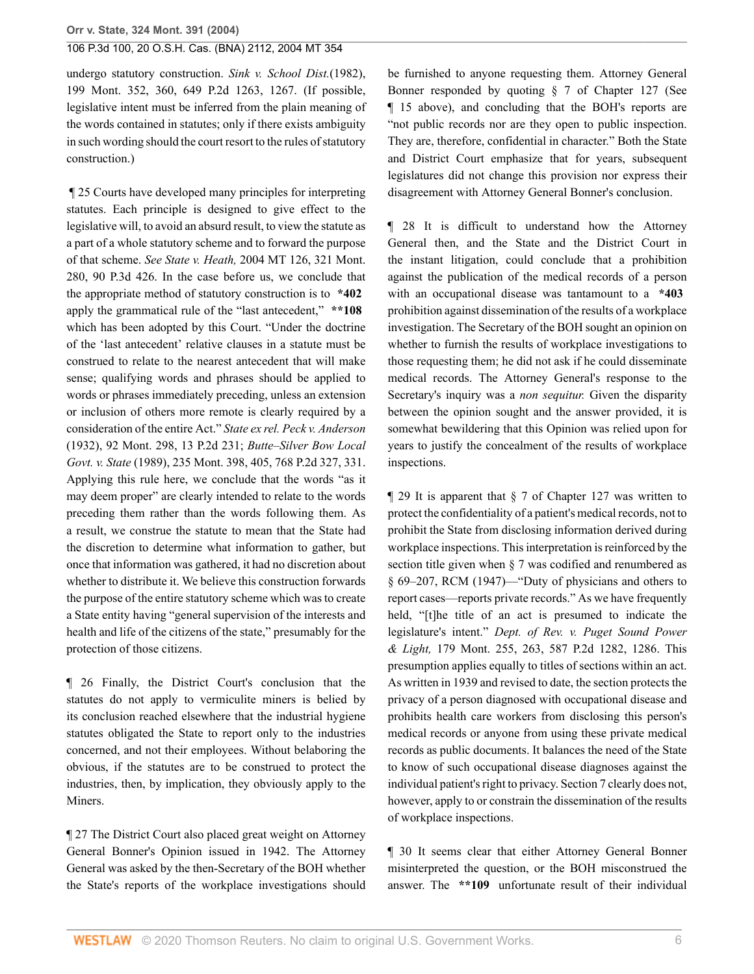undergo statutory construction. *[Sink v. School Dist.](http://www.westlaw.com/Link/Document/FullText?findType=Y&serNum=1982136471&pubNum=661&originatingDoc=I41a70aa7f79e11d99439b076ef9ec4de&refType=RP&fi=co_pp_sp_661_1267&originationContext=document&vr=3.0&rs=cblt1.0&transitionType=DocumentItem&contextData=(sc.Search)#co_pp_sp_661_1267)*(1982), [199 Mont. 352, 360, 649 P.2d 1263, 1267.](http://www.westlaw.com/Link/Document/FullText?findType=Y&serNum=1982136471&pubNum=661&originatingDoc=I41a70aa7f79e11d99439b076ef9ec4de&refType=RP&fi=co_pp_sp_661_1267&originationContext=document&vr=3.0&rs=cblt1.0&transitionType=DocumentItem&contextData=(sc.Search)#co_pp_sp_661_1267) (If possible, legislative intent must be inferred from the plain meaning of the words contained in statutes; only if there exists ambiguity in such wording should the court resort to the rules of statutory construction.)

 ¶ 25 Courts have developed many principles for interpreting statutes. Each principle is designed to give effect to the legislative will, to avoid an absurd result, to view the statute as a part of a whole statutory scheme and to forward the purpose of that scheme. *See State v. Heath,* [2004 MT 126, 321 Mont.](http://www.westlaw.com/Link/Document/FullText?findType=Y&serNum=2004475580&pubNum=4645&originatingDoc=I41a70aa7f79e11d99439b076ef9ec4de&refType=RP&originationContext=document&vr=3.0&rs=cblt1.0&transitionType=DocumentItem&contextData=(sc.Search)) [280, 90 P.3d 426.](http://www.westlaw.com/Link/Document/FullText?findType=Y&serNum=2004475580&pubNum=4645&originatingDoc=I41a70aa7f79e11d99439b076ef9ec4de&refType=RP&originationContext=document&vr=3.0&rs=cblt1.0&transitionType=DocumentItem&contextData=(sc.Search)) In the case before us, we conclude that the appropriate method of statutory construction is to **\*402** apply the grammatical rule of the "last antecedent," **\*\*108** which has been adopted by this Court. "Under the doctrine of the 'last antecedent' relative clauses in a statute must be construed to relate to the nearest antecedent that will make sense; qualifying words and phrases should be applied to words or phrases immediately preceding, unless an extension or inclusion of others more remote is clearly required by a consideration of the entire Act." *[State ex rel. Peck v. Anderson](http://www.westlaw.com/Link/Document/FullText?findType=Y&serNum=1932102587&pubNum=661&originatingDoc=I41a70aa7f79e11d99439b076ef9ec4de&refType=RP&originationContext=document&vr=3.0&rs=cblt1.0&transitionType=DocumentItem&contextData=(sc.Search))* [\(1932\), 92 Mont. 298, 13 P.2d 231;](http://www.westlaw.com/Link/Document/FullText?findType=Y&serNum=1932102587&pubNum=661&originatingDoc=I41a70aa7f79e11d99439b076ef9ec4de&refType=RP&originationContext=document&vr=3.0&rs=cblt1.0&transitionType=DocumentItem&contextData=(sc.Search)) *[Butte–Silver Bow Local](http://www.westlaw.com/Link/Document/FullText?findType=Y&serNum=1989015579&pubNum=661&originatingDoc=I41a70aa7f79e11d99439b076ef9ec4de&refType=RP&fi=co_pp_sp_661_331&originationContext=document&vr=3.0&rs=cblt1.0&transitionType=DocumentItem&contextData=(sc.Search)#co_pp_sp_661_331) Govt. v. State* [\(1989\), 235 Mont. 398, 405, 768 P.2d 327, 331.](http://www.westlaw.com/Link/Document/FullText?findType=Y&serNum=1989015579&pubNum=661&originatingDoc=I41a70aa7f79e11d99439b076ef9ec4de&refType=RP&fi=co_pp_sp_661_331&originationContext=document&vr=3.0&rs=cblt1.0&transitionType=DocumentItem&contextData=(sc.Search)#co_pp_sp_661_331) Applying this rule here, we conclude that the words "as it may deem proper" are clearly intended to relate to the words preceding them rather than the words following them. As a result, we construe the statute to mean that the State had the discretion to determine what information to gather, but once that information was gathered, it had no discretion about whether to distribute it. We believe this construction forwards the purpose of the entire statutory scheme which was to create a State entity having "general supervision of the interests and health and life of the citizens of the state," presumably for the protection of those citizens.

¶ 26 Finally, the District Court's conclusion that the statutes do not apply to vermiculite miners is belied by its conclusion reached elsewhere that the industrial hygiene statutes obligated the State to report only to the industries concerned, and not their employees. Without belaboring the obvious, if the statutes are to be construed to protect the industries, then, by implication, they obviously apply to the Miners.

¶ 27 The District Court also placed great weight on Attorney General Bonner's Opinion issued in 1942. The Attorney General was asked by the then-Secretary of the BOH whether the State's reports of the workplace investigations should be furnished to anyone requesting them. Attorney General Bonner responded by quoting § 7 of Chapter 127 (See ¶ 15 above), and concluding that the BOH's reports are "not public records nor are they open to public inspection. They are, therefore, confidential in character." Both the State and District Court emphasize that for years, subsequent legislatures did not change this provision nor express their disagreement with Attorney General Bonner's conclusion.

¶ 28 It is difficult to understand how the Attorney General then, and the State and the District Court in the instant litigation, could conclude that a prohibition against the publication of the medical records of a person with an occupational disease was tantamount to a **\*403** prohibition against dissemination of the results of a workplace investigation. The Secretary of the BOH sought an opinion on whether to furnish the results of workplace investigations to those requesting them; he did not ask if he could disseminate medical records. The Attorney General's response to the Secretary's inquiry was a *non sequitur.* Given the disparity between the opinion sought and the answer provided, it is somewhat bewildering that this Opinion was relied upon for years to justify the concealment of the results of workplace inspections.

¶ 29 It is apparent that § 7 of Chapter 127 was written to protect the confidentiality of a patient's medical records, not to prohibit the State from disclosing information derived during workplace inspections. This interpretation is reinforced by the section title given when § 7 was codified and renumbered as § 69–207, RCM (1947)—"Duty of physicians and others to report cases—reports private records." As we have frequently held, "[t]he title of an act is presumed to indicate the legislature's intent." *[Dept. of Rev. v. Puget Sound Power](http://www.westlaw.com/Link/Document/FullText?findType=Y&serNum=1978131811&pubNum=661&originatingDoc=I41a70aa7f79e11d99439b076ef9ec4de&refType=RP&fi=co_pp_sp_661_1286&originationContext=document&vr=3.0&rs=cblt1.0&transitionType=DocumentItem&contextData=(sc.Search)#co_pp_sp_661_1286) & Light,* [179 Mont. 255, 263, 587 P.2d 1282, 1286.](http://www.westlaw.com/Link/Document/FullText?findType=Y&serNum=1978131811&pubNum=661&originatingDoc=I41a70aa7f79e11d99439b076ef9ec4de&refType=RP&fi=co_pp_sp_661_1286&originationContext=document&vr=3.0&rs=cblt1.0&transitionType=DocumentItem&contextData=(sc.Search)#co_pp_sp_661_1286) This presumption applies equally to titles of sections within an act. As written in 1939 and revised to date, the section protects the privacy of a person diagnosed with occupational disease and prohibits health care workers from disclosing this person's medical records or anyone from using these private medical records as public documents. It balances the need of the State to know of such occupational [disease diagnoses](http://www.westlaw.com/Link/Document/FullText?entityType=disease&entityId=Iae3d9d04475411db9765f9243f53508a&originationContext=document&transitionType=DocumentItem&contextData=(sc.Default)&vr=3.0&rs=cblt1.0) against the individual patient's right to privacy. Section 7 clearly does not, however, apply to or constrain the dissemination of the results of workplace inspections.

¶ 30 It seems clear that either Attorney General Bonner misinterpreted the question, or the BOH misconstrued the answer. The **\*\*109** unfortunate result of their individual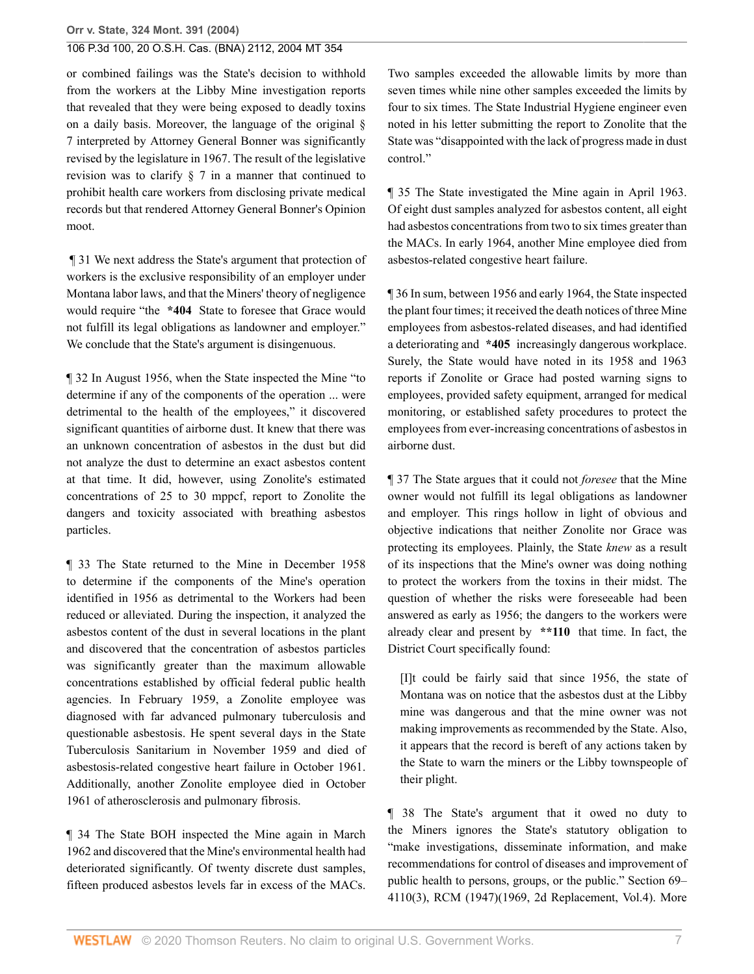or combined failings was the State's decision to withhold from the workers at the Libby Mine investigation reports that revealed that they were being exposed to deadly toxins on a daily basis. Moreover, the language of the original § 7 interpreted by Attorney General Bonner was significantly revised by the legislature in 1967. The result of the legislative revision was to clarify § 7 in a manner that continued to prohibit health care workers from disclosing private medical records but that rendered Attorney General Bonner's Opinion moot.

 ¶ 31 We next address the State's argument that protection of workers is the exclusive responsibility of an employer under Montana labor laws, and that the Miners' theory of negligence would require "the **\*404** State to foresee that Grace would not fulfill its legal obligations as landowner and employer." We conclude that the State's argument is disingenuous.

¶ 32 In August 1956, when the State inspected the Mine "to determine if any of the components of the operation ... were detrimental to the health of the employees," it discovered significant quantities of airborne dust. It knew that there was an unknown concentration of asbestos in the dust but did not analyze the dust to determine an exact asbestos content at that time. It did, however, using Zonolite's estimated concentrations of 25 to 30 mppcf, report to Zonolite the dangers and toxicity associated with breathing asbestos particles.

¶ 33 The State returned to the Mine in December 1958 to determine if the components of the Mine's operation identified in 1956 as detrimental to the Workers had been reduced or alleviated. During the inspection, it analyzed the asbestos content of the dust in several locations in the plant and discovered that the concentration of asbestos particles was significantly greater than the maximum allowable concentrations established by official federal public health agencies. In February 1959, a Zonolite employee was diagnosed with far advanced [pulmonary tuberculosis](http://www.westlaw.com/Link/Document/FullText?entityType=disease&entityId=Ib390d612475411db9765f9243f53508a&originationContext=document&transitionType=DocumentItem&contextData=(sc.Default)&vr=3.0&rs=cblt1.0) and questionable [asbestosis](http://www.westlaw.com/Link/Document/FullText?entityType=disease&entityId=Ic280891e475411db9765f9243f53508a&originationContext=document&transitionType=DocumentItem&contextData=(sc.Default)&vr=3.0&rs=cblt1.0). He spent several days in the State Tuberculosis Sanitarium in November 1959 and died of asbestosis-related [congestive heart failure](http://www.westlaw.com/Link/Document/FullText?entityType=disease&entityId=Ic2ccd43d475411db9765f9243f53508a&originationContext=document&transitionType=DocumentItem&contextData=(sc.Default)&vr=3.0&rs=cblt1.0) in October 1961. Additionally, another Zonolite employee died in October 1961 of [atherosclerosis](http://www.westlaw.com/Link/Document/FullText?entityType=disease&entityId=Ica4a1895475411db9765f9243f53508a&originationContext=document&transitionType=DocumentItem&contextData=(sc.Default)&vr=3.0&rs=cblt1.0) and [pulmonary fibrosis.](http://www.westlaw.com/Link/Document/FullText?entityType=disease&entityId=Iad0f2fbc475411db9765f9243f53508a&originationContext=document&transitionType=DocumentItem&contextData=(sc.Default)&vr=3.0&rs=cblt1.0)

¶ 34 The State BOH inspected the Mine again in March 1962 and discovered that the Mine's environmental health had deteriorated significantly. Of twenty discrete dust samples, fifteen produced asbestos levels far in excess of the MACs. Two samples exceeded the allowable limits by more than seven times while nine other samples exceeded the limits by four to six times. The State Industrial Hygiene engineer even noted in his letter submitting the report to Zonolite that the State was "disappointed with the lack of progress made in dust control."

¶ 35 The State investigated the Mine again in April 1963. Of eight dust samples analyzed for asbestos content, all eight had asbestos concentrations from two to six times greater than the MACs. In early 1964, another Mine employee died from asbestos-related [congestive heart failure](http://www.westlaw.com/Link/Document/FullText?entityType=disease&entityId=Ic2ccd43d475411db9765f9243f53508a&originationContext=document&transitionType=DocumentItem&contextData=(sc.Default)&vr=3.0&rs=cblt1.0).

¶ 36 In sum, between 1956 and early 1964, the State inspected the plant four times; it received the death notices of three Mine employees from asbestos-related diseases, and had identified a deteriorating and **\*405** increasingly dangerous workplace. Surely, the State would have noted in its 1958 and 1963 reports if Zonolite or Grace had posted warning signs to employees, provided safety equipment, arranged for medical monitoring, or established safety procedures to protect the employees from ever-increasing concentrations of asbestos in airborne dust.

¶ 37 The State argues that it could not *foresee* that the Mine owner would not fulfill its legal obligations as landowner and employer. This rings hollow in light of obvious and objective indications that neither Zonolite nor Grace was protecting its employees. Plainly, the State *knew* as a result of its inspections that the Mine's owner was doing nothing to protect the workers from the toxins in their midst. The question of whether the risks were foreseeable had been answered as early as 1956; the dangers to the workers were already clear and present by **\*\*110** that time. In fact, the District Court specifically found:

[I]t could be fairly said that since 1956, the state of Montana was on notice that the asbestos dust at the Libby mine was dangerous and that the mine owner was not making improvements as recommended by the State. Also, it appears that the record is bereft of any actions taken by the State to warn the miners or the Libby townspeople of their plight.

¶ 38 The State's argument that it owed no duty to the Miners ignores the State's statutory obligation to "make investigations, disseminate information, and make recommendations for control of diseases and improvement of public health to persons, groups, or the public." Section 69– 4110(3), RCM (1947)(1969, 2d Replacement, Vol.4). More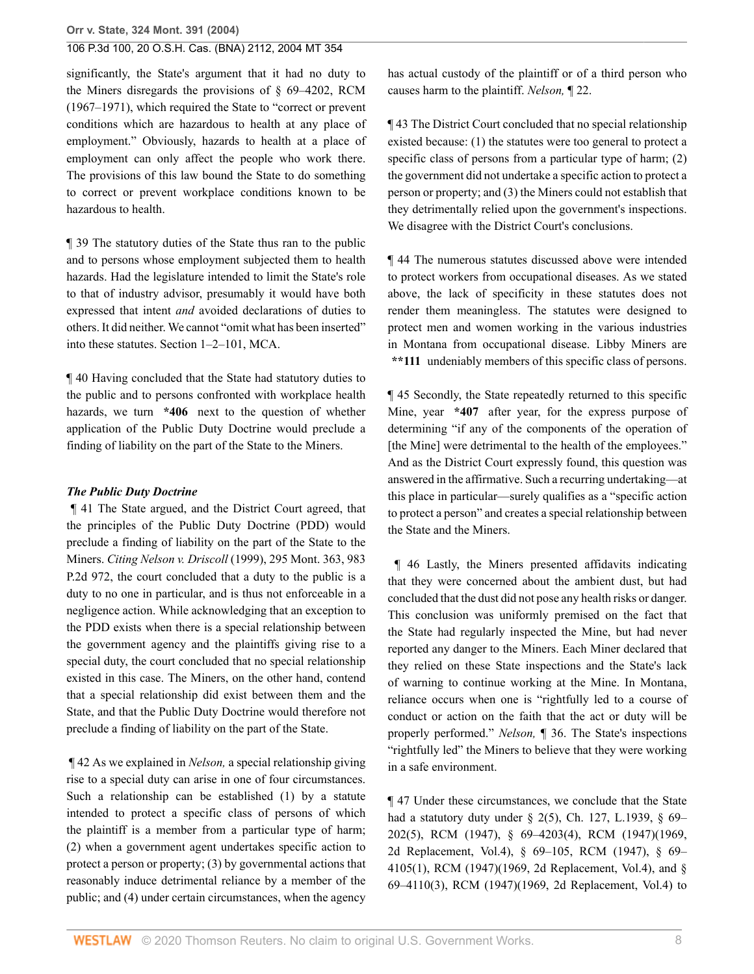significantly, the State's argument that it had no duty to the Miners disregards the provisions of § 69–4202, RCM (1967–1971), which required the State to "correct or prevent conditions which are hazardous to health at any place of employment." Obviously, hazards to health at a place of employment can only affect the people who work there. The provisions of this law bound the State to do something to correct or prevent workplace conditions known to be hazardous to health.

¶ 39 The statutory duties of the State thus ran to the public and to persons whose employment subjected them to health hazards. Had the legislature intended to limit the State's role to that of industry advisor, presumably it would have both expressed that intent *and* avoided declarations of duties to others. It did neither. We cannot "omit what has been inserted" into these statutes. [Section 1–2–101, MCA](http://www.westlaw.com/Link/Document/FullText?findType=L&pubNum=1002018&cite=MTST1-2-101&originatingDoc=I41a70aa7f79e11d99439b076ef9ec4de&refType=LQ&originationContext=document&vr=3.0&rs=cblt1.0&transitionType=DocumentItem&contextData=(sc.Search)).

¶ 40 Having concluded that the State had statutory duties to the public and to persons confronted with workplace health hazards, we turn **\*406** next to the question of whether application of the Public Duty Doctrine would preclude a finding of liability on the part of the State to the Miners.

#### *The Public Duty Doctrine*

 ¶ 41 The State argued, and the District Court agreed, that the principles of the Public Duty Doctrine (PDD) would preclude a finding of liability on the part of the State to the Miners. *Citing Nelson v. Driscoll* [\(1999\), 295 Mont. 363, 983](http://www.westlaw.com/Link/Document/FullText?findType=Y&serNum=1999192023&pubNum=661&originatingDoc=I41a70aa7f79e11d99439b076ef9ec4de&refType=RP&originationContext=document&vr=3.0&rs=cblt1.0&transitionType=DocumentItem&contextData=(sc.Search)) [P.2d 972,](http://www.westlaw.com/Link/Document/FullText?findType=Y&serNum=1999192023&pubNum=661&originatingDoc=I41a70aa7f79e11d99439b076ef9ec4de&refType=RP&originationContext=document&vr=3.0&rs=cblt1.0&transitionType=DocumentItem&contextData=(sc.Search)) the court concluded that a duty to the public is a duty to no one in particular, and is thus not enforceable in a negligence action. While acknowledging that an exception to the PDD exists when there is a special relationship between the government agency and the plaintiffs giving rise to a special duty, the court concluded that no special relationship existed in this case. The Miners, on the other hand, contend that a special relationship did exist between them and the State, and that the Public Duty Doctrine would therefore not preclude a finding of liability on the part of the State.

 ¶ 42 As we explained in *Nelson,* a special relationship giving rise to a special duty can arise in one of four circumstances. Such a relationship can be established (1) by a statute intended to protect a specific class of persons of which the plaintiff is a member from a particular type of harm; (2) when a government agent undertakes specific action to protect a person or property; (3) by governmental actions that reasonably induce detrimental reliance by a member of the public; and (4) under certain circumstances, when the agency

has actual custody of the plaintiff or of a third person who causes harm to the plaintiff. *Nelson,* ¶ 22.

¶ 43 The District Court concluded that no special relationship existed because: (1) the statutes were too general to protect a specific class of persons from a particular type of harm; (2) the government did not undertake a specific action to protect a person or property; and (3) the Miners could not establish that they detrimentally relied upon the government's inspections. We disagree with the District Court's conclusions.

¶ 44 The numerous statutes discussed above were intended to protect workers from occupational diseases. As we stated above, the lack of specificity in these statutes does not render them meaningless. The statutes were designed to protect men and women working in the various industries in Montana from occupational disease. Libby Miners are **\*\*111** undeniably members of this specific class of persons.

¶ 45 Secondly, the State repeatedly returned to this specific Mine, year **\*407** after year, for the express purpose of determining "if any of the components of the operation of [the Mine] were detrimental to the health of the employees." And as the District Court expressly found, this question was answered in the affirmative. Such a recurring undertaking—at this place in particular—surely qualifies as a "specific action to protect a person" and creates a special relationship between the State and the Miners.

 ¶ 46 Lastly, the Miners presented affidavits indicating that they were concerned about the ambient dust, but had concluded that the dust did not pose any health risks or danger. This conclusion was uniformly premised on the fact that the State had regularly inspected the Mine, but had never reported any danger to the Miners. Each Miner declared that they relied on these State inspections and the State's lack of warning to continue working at the Mine. In Montana, reliance occurs when one is "rightfully led to a course of conduct or action on the faith that the act or duty will be properly performed." *Nelson,* ¶ 36. The State's inspections "rightfully led" the Miners to believe that they were working in a safe environment.

¶ 47 Under these circumstances, we conclude that the State had a statutory duty under § 2(5), Ch. 127, L.1939, § 69– 202(5), RCM (1947), § 69–4203(4), RCM (1947)(1969, 2d Replacement, Vol.4), § 69–105, RCM (1947), § 69– 4105(1), RCM (1947)(1969, 2d Replacement, Vol.4), and § 69–4110(3), RCM (1947)(1969, 2d Replacement, Vol.4) to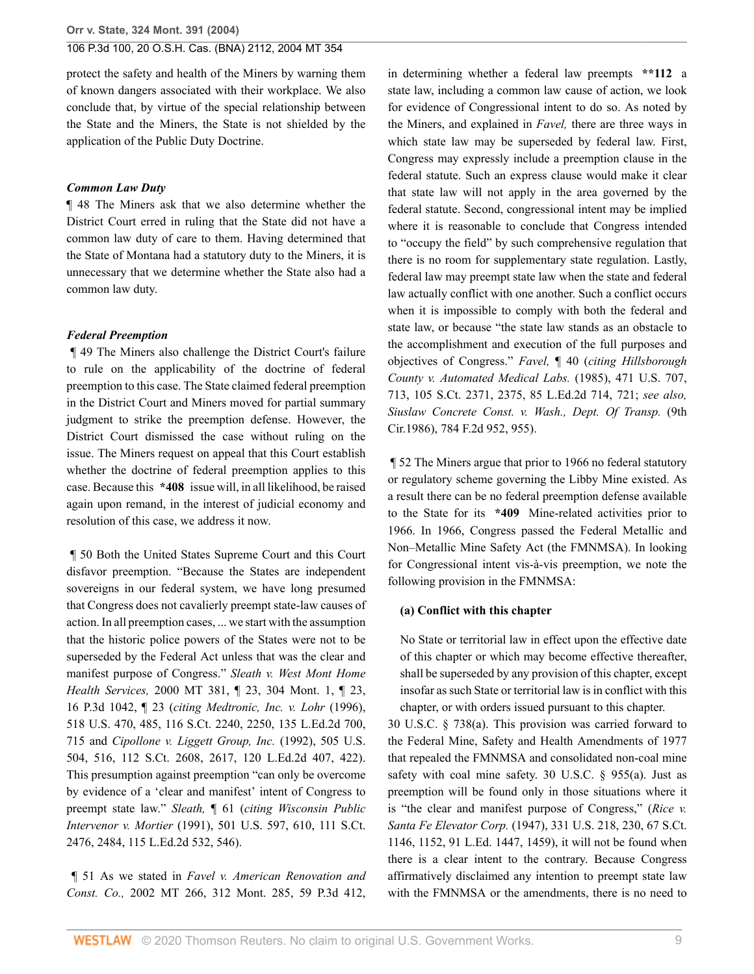protect the safety and health of the Miners by warning them of known dangers associated with their workplace. We also conclude that, by virtue of the special relationship between the State and the Miners, the State is not shielded by the application of the Public Duty Doctrine.

#### *Common Law Duty*

¶ 48 The Miners ask that we also determine whether the District Court erred in ruling that the State did not have a common law duty of care to them. Having determined that the State of Montana had a statutory duty to the Miners, it is unnecessary that we determine whether the State also had a common law duty.

### *Federal Preemption*

 ¶ 49 The Miners also challenge the District Court's failure to rule on the applicability of the doctrine of federal preemption to this case. The State claimed federal preemption in the District Court and Miners moved for partial summary judgment to strike the preemption defense. However, the District Court dismissed the case without ruling on the issue. The Miners request on appeal that this Court establish whether the doctrine of federal preemption applies to this case. Because this **\*408** issue will, in all likelihood, be raised again upon remand, in the interest of judicial economy and resolution of this case, we address it now.

 ¶ 50 Both the United States Supreme Court and this Court disfavor preemption. "Because the States are independent sovereigns in our federal system, we have long presumed that Congress does not cavalierly preempt state-law causes of action. In all preemption cases, ... we start with the assumption that the historic police powers of the States were not to be superseded by the Federal Act unless that was the clear and manifest purpose of Congress." *[Sleath v. West Mont Home](http://www.westlaw.com/Link/Document/FullText?findType=Y&serNum=2000658271&pubNum=0004645&originatingDoc=I41a70aa7f79e11d99439b076ef9ec4de&refType=RP&originationContext=document&vr=3.0&rs=cblt1.0&transitionType=DocumentItem&contextData=(sc.Search)) Health Services,* [2000 MT 381, ¶ 23, 304 Mont. 1, ¶ 23,](http://www.westlaw.com/Link/Document/FullText?findType=Y&serNum=2000658271&pubNum=0004645&originatingDoc=I41a70aa7f79e11d99439b076ef9ec4de&refType=RP&originationContext=document&vr=3.0&rs=cblt1.0&transitionType=DocumentItem&contextData=(sc.Search)) [16 P.3d 1042, ¶ 23](http://www.westlaw.com/Link/Document/FullText?findType=Y&serNum=2000658271&pubNum=0004645&originatingDoc=I41a70aa7f79e11d99439b076ef9ec4de&refType=RP&originationContext=document&vr=3.0&rs=cblt1.0&transitionType=DocumentItem&contextData=(sc.Search)) (*citing [Medtronic, Inc. v. Lohr](http://www.westlaw.com/Link/Document/FullText?findType=Y&serNum=1996141769&pubNum=0000708&originatingDoc=I41a70aa7f79e11d99439b076ef9ec4de&refType=RP&fi=co_pp_sp_708_2250&originationContext=document&vr=3.0&rs=cblt1.0&transitionType=DocumentItem&contextData=(sc.Search)#co_pp_sp_708_2250)* (1996), [518 U.S. 470, 485, 116 S.Ct. 2240, 2250, 135 L.Ed.2d 700,](http://www.westlaw.com/Link/Document/FullText?findType=Y&serNum=1996141769&pubNum=0000708&originatingDoc=I41a70aa7f79e11d99439b076ef9ec4de&refType=RP&fi=co_pp_sp_708_2250&originationContext=document&vr=3.0&rs=cblt1.0&transitionType=DocumentItem&contextData=(sc.Search)#co_pp_sp_708_2250) [715](http://www.westlaw.com/Link/Document/FullText?findType=Y&serNum=1996141769&pubNum=0000708&originatingDoc=I41a70aa7f79e11d99439b076ef9ec4de&refType=RP&fi=co_pp_sp_708_2250&originationContext=document&vr=3.0&rs=cblt1.0&transitionType=DocumentItem&contextData=(sc.Search)#co_pp_sp_708_2250) and *[Cipollone v. Liggett Group, Inc.](http://www.westlaw.com/Link/Document/FullText?findType=Y&serNum=1992113982&pubNum=708&originatingDoc=I41a70aa7f79e11d99439b076ef9ec4de&refType=RP&fi=co_pp_sp_708_2617&originationContext=document&vr=3.0&rs=cblt1.0&transitionType=DocumentItem&contextData=(sc.Search)#co_pp_sp_708_2617)* (1992), 505 U.S. [504, 516, 112 S.Ct. 2608, 2617, 120 L.Ed.2d 407, 422\).](http://www.westlaw.com/Link/Document/FullText?findType=Y&serNum=1992113982&pubNum=708&originatingDoc=I41a70aa7f79e11d99439b076ef9ec4de&refType=RP&fi=co_pp_sp_708_2617&originationContext=document&vr=3.0&rs=cblt1.0&transitionType=DocumentItem&contextData=(sc.Search)#co_pp_sp_708_2617) This presumption against preemption "can only be overcome by evidence of a 'clear and manifest' intent of Congress to preempt state law." *Sleath,* ¶ 61 (*citing [Wisconsin Public](http://www.westlaw.com/Link/Document/FullText?findType=Y&serNum=1991113028&pubNum=708&originatingDoc=I41a70aa7f79e11d99439b076ef9ec4de&refType=RP&fi=co_pp_sp_708_2484&originationContext=document&vr=3.0&rs=cblt1.0&transitionType=DocumentItem&contextData=(sc.Search)#co_pp_sp_708_2484) Intervenor v. Mortier* [\(1991\), 501 U.S. 597, 610, 111 S.Ct.](http://www.westlaw.com/Link/Document/FullText?findType=Y&serNum=1991113028&pubNum=708&originatingDoc=I41a70aa7f79e11d99439b076ef9ec4de&refType=RP&fi=co_pp_sp_708_2484&originationContext=document&vr=3.0&rs=cblt1.0&transitionType=DocumentItem&contextData=(sc.Search)#co_pp_sp_708_2484) [2476, 2484, 115 L.Ed.2d 532, 546\).](http://www.westlaw.com/Link/Document/FullText?findType=Y&serNum=1991113028&pubNum=708&originatingDoc=I41a70aa7f79e11d99439b076ef9ec4de&refType=RP&fi=co_pp_sp_708_2484&originationContext=document&vr=3.0&rs=cblt1.0&transitionType=DocumentItem&contextData=(sc.Search)#co_pp_sp_708_2484)

 ¶ 51 As we stated in *[Favel v. American Renovation and](http://www.westlaw.com/Link/Document/FullText?findType=Y&serNum=2002748140&pubNum=4645&originatingDoc=I41a70aa7f79e11d99439b076ef9ec4de&refType=RP&originationContext=document&vr=3.0&rs=cblt1.0&transitionType=DocumentItem&contextData=(sc.Search)) Const. Co.,* [2002 MT 266, 312 Mont. 285, 59 P.3d 412,](http://www.westlaw.com/Link/Document/FullText?findType=Y&serNum=2002748140&pubNum=4645&originatingDoc=I41a70aa7f79e11d99439b076ef9ec4de&refType=RP&originationContext=document&vr=3.0&rs=cblt1.0&transitionType=DocumentItem&contextData=(sc.Search))

in determining whether a federal law preempts **\*\*112** a state law, including a common law cause of action, we look for evidence of Congressional intent to do so. As noted by the Miners, and explained in *Favel,* there are three ways in which state law may be superseded by federal law. First, Congress may expressly include a preemption clause in the federal statute. Such an express clause would make it clear that state law will not apply in the area governed by the federal statute. Second, congressional intent may be implied where it is reasonable to conclude that Congress intended to "occupy the field" by such comprehensive regulation that there is no room for supplementary state regulation. Lastly, federal law may preempt state law when the state and federal law actually conflict with one another. Such a conflict occurs when it is impossible to comply with both the federal and state law, or because "the state law stands as an obstacle to the accomplishment and execution of the full purposes and objectives of Congress." *Favel,* ¶ 40 (*citing [Hillsborough](http://www.westlaw.com/Link/Document/FullText?findType=Y&serNum=1985127856&pubNum=708&originatingDoc=I41a70aa7f79e11d99439b076ef9ec4de&refType=RP&fi=co_pp_sp_708_2375&originationContext=document&vr=3.0&rs=cblt1.0&transitionType=DocumentItem&contextData=(sc.Search)#co_pp_sp_708_2375) [County v. Automated Medical Labs.](http://www.westlaw.com/Link/Document/FullText?findType=Y&serNum=1985127856&pubNum=708&originatingDoc=I41a70aa7f79e11d99439b076ef9ec4de&refType=RP&fi=co_pp_sp_708_2375&originationContext=document&vr=3.0&rs=cblt1.0&transitionType=DocumentItem&contextData=(sc.Search)#co_pp_sp_708_2375)* (1985), 471 U.S. 707, [713, 105 S.Ct. 2371, 2375, 85 L.Ed.2d 714, 721;](http://www.westlaw.com/Link/Document/FullText?findType=Y&serNum=1985127856&pubNum=708&originatingDoc=I41a70aa7f79e11d99439b076ef9ec4de&refType=RP&fi=co_pp_sp_708_2375&originationContext=document&vr=3.0&rs=cblt1.0&transitionType=DocumentItem&contextData=(sc.Search)#co_pp_sp_708_2375) *see also, [Siuslaw Concrete Const. v. Wash., Dept. Of Transp.](http://www.westlaw.com/Link/Document/FullText?findType=Y&serNum=1986112724&pubNum=350&originatingDoc=I41a70aa7f79e11d99439b076ef9ec4de&refType=RP&fi=co_pp_sp_350_955&originationContext=document&vr=3.0&rs=cblt1.0&transitionType=DocumentItem&contextData=(sc.Search)#co_pp_sp_350_955)* (9th [Cir.1986\), 784 F.2d 952, 955\).](http://www.westlaw.com/Link/Document/FullText?findType=Y&serNum=1986112724&pubNum=350&originatingDoc=I41a70aa7f79e11d99439b076ef9ec4de&refType=RP&fi=co_pp_sp_350_955&originationContext=document&vr=3.0&rs=cblt1.0&transitionType=DocumentItem&contextData=(sc.Search)#co_pp_sp_350_955)

 ¶ 52 The Miners argue that prior to 1966 no federal statutory or regulatory scheme governing the Libby Mine existed. As a result there can be no federal preemption defense available to the State for its **\*409** Mine-related activities prior to 1966. In 1966, Congress passed the Federal Metallic and Non–Metallic Mine Safety Act (the FMNMSA). In looking for Congressional intent vis-à-vis preemption, we note the following provision in the FMNMSA:

#### **(a) Conflict with this chapter**

No State or territorial law in effect upon the effective date of this chapter or which may become effective thereafter, shall be superseded by any provision of this chapter, except insofar as such State or territorial law is in conflict with this chapter, or with orders issued pursuant to this chapter.

[30 U.S.C. § 738\(a\)](http://www.westlaw.com/Link/Document/FullText?findType=L&pubNum=1000546&cite=30USCAS738&originatingDoc=I41a70aa7f79e11d99439b076ef9ec4de&refType=LQ&originationContext=document&vr=3.0&rs=cblt1.0&transitionType=DocumentItem&contextData=(sc.Search)). This provision was carried forward to the Federal Mine, Safety and Health Amendments of 1977 that repealed the FMNMSA and consolidated non-coal mine safety with coal mine safety. [30 U.S.C. § 955\(a\).](http://www.westlaw.com/Link/Document/FullText?findType=L&pubNum=1000546&cite=30USCAS955&originatingDoc=I41a70aa7f79e11d99439b076ef9ec4de&refType=RB&originationContext=document&vr=3.0&rs=cblt1.0&transitionType=DocumentItem&contextData=(sc.Search)#co_pp_8b3b0000958a4) Just as preemption will be found only in those situations where it is "the clear and manifest purpose of Congress," (*[Rice v.](http://www.westlaw.com/Link/Document/FullText?findType=Y&serNum=1947116605&pubNum=708&originatingDoc=I41a70aa7f79e11d99439b076ef9ec4de&refType=RP&fi=co_pp_sp_708_1152&originationContext=document&vr=3.0&rs=cblt1.0&transitionType=DocumentItem&contextData=(sc.Search)#co_pp_sp_708_1152) Santa Fe Elevator Corp.* [\(1947\), 331 U.S. 218, 230, 67 S.Ct.](http://www.westlaw.com/Link/Document/FullText?findType=Y&serNum=1947116605&pubNum=708&originatingDoc=I41a70aa7f79e11d99439b076ef9ec4de&refType=RP&fi=co_pp_sp_708_1152&originationContext=document&vr=3.0&rs=cblt1.0&transitionType=DocumentItem&contextData=(sc.Search)#co_pp_sp_708_1152) [1146, 1152, 91 L.Ed. 1447, 1459\),](http://www.westlaw.com/Link/Document/FullText?findType=Y&serNum=1947116605&pubNum=708&originatingDoc=I41a70aa7f79e11d99439b076ef9ec4de&refType=RP&fi=co_pp_sp_708_1152&originationContext=document&vr=3.0&rs=cblt1.0&transitionType=DocumentItem&contextData=(sc.Search)#co_pp_sp_708_1152) it will not be found when there is a clear intent to the contrary. Because Congress affirmatively disclaimed any intention to preempt state law with the FMNMSA or the amendments, there is no need to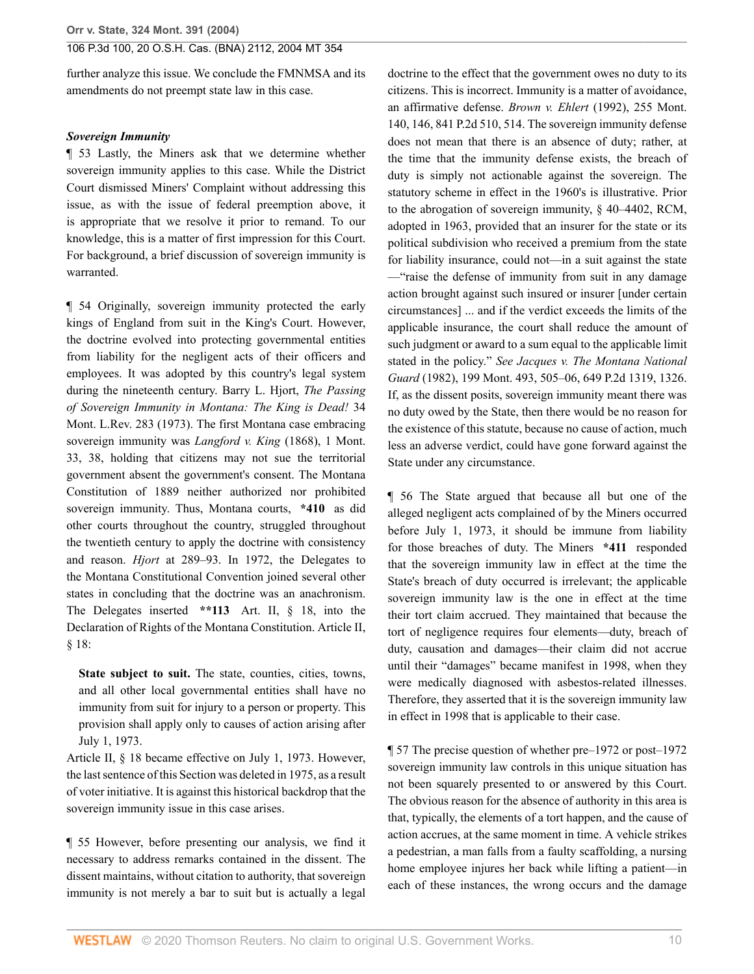further analyze this issue. We conclude the FMNMSA and its amendments do not preempt state law in this case.

#### *Sovereign Immunity*

¶ 53 Lastly, the Miners ask that we determine whether sovereign immunity applies to this case. While the District Court dismissed Miners' Complaint without addressing this issue, as with the issue of federal preemption above, it is appropriate that we resolve it prior to remand. To our knowledge, this is a matter of first impression for this Court. For background, a brief discussion of sovereign immunity is warranted.

¶ 54 Originally, sovereign immunity protected the early kings of England from suit in the King's Court. However, the doctrine evolved into protecting governmental entities from liability for the negligent acts of their officers and employees. It was adopted by this country's legal system during the nineteenth century. Barry L. Hjort, *The Passing of Sovereign Immunity in Montana: The King is Dead!* 34 Mont. L.Rev. 283 (1973). The first Montana case embracing sovereign immunity was *[Langford v. King](http://www.westlaw.com/Link/Document/FullText?findType=Y&serNum=1868008908&pubNum=561&originatingDoc=I41a70aa7f79e11d99439b076ef9ec4de&refType=RP&fi=co_pp_sp_561_38&originationContext=document&vr=3.0&rs=cblt1.0&transitionType=DocumentItem&contextData=(sc.Search)#co_pp_sp_561_38)* (1868), 1 Mont. [33, 38,](http://www.westlaw.com/Link/Document/FullText?findType=Y&serNum=1868008908&pubNum=561&originatingDoc=I41a70aa7f79e11d99439b076ef9ec4de&refType=RP&fi=co_pp_sp_561_38&originationContext=document&vr=3.0&rs=cblt1.0&transitionType=DocumentItem&contextData=(sc.Search)#co_pp_sp_561_38) holding that citizens may not sue the territorial government absent the government's consent. The Montana Constitution of 1889 neither authorized nor prohibited sovereign immunity. Thus, Montana courts, **\*410** as did other courts throughout the country, struggled throughout the twentieth century to apply the doctrine with consistency and reason. *Hjort* at 289–93. In 1972, the Delegates to the Montana Constitutional Convention joined several other states in concluding that the doctrine was an anachronism. The Delegates inserted **\*\*113** [Art. II, § 18](http://www.westlaw.com/Link/Document/FullText?findType=L&pubNum=1002028&cite=MTCNSTART2S18&originatingDoc=I41a70aa7f79e11d99439b076ef9ec4de&refType=LQ&originationContext=document&vr=3.0&rs=cblt1.0&transitionType=DocumentItem&contextData=(sc.Search)), into the Declaration of Rights of the Montana Constitution. [Article II,](http://www.westlaw.com/Link/Document/FullText?findType=L&pubNum=1002028&cite=MTCNSTART2S18&originatingDoc=I41a70aa7f79e11d99439b076ef9ec4de&refType=LQ&originationContext=document&vr=3.0&rs=cblt1.0&transitionType=DocumentItem&contextData=(sc.Search)) [§ 18:](http://www.westlaw.com/Link/Document/FullText?findType=L&pubNum=1002028&cite=MTCNSTART2S18&originatingDoc=I41a70aa7f79e11d99439b076ef9ec4de&refType=LQ&originationContext=document&vr=3.0&rs=cblt1.0&transitionType=DocumentItem&contextData=(sc.Search))

**State subject to suit.** The state, counties, cities, towns, and all other local governmental entities shall have no immunity from suit for injury to a person or property. This provision shall apply only to causes of action arising after July 1, 1973.

[Article II, § 18](http://www.westlaw.com/Link/Document/FullText?findType=L&pubNum=1002028&cite=MTCNSTART2S18&originatingDoc=I41a70aa7f79e11d99439b076ef9ec4de&refType=LQ&originationContext=document&vr=3.0&rs=cblt1.0&transitionType=DocumentItem&contextData=(sc.Search)) became effective on July 1, 1973. However, the last sentence of this Section was deleted in 1975, as a result of voter initiative. It is against this historical backdrop that the sovereign immunity issue in this case arises.

¶ 55 However, before presenting our analysis, we find it necessary to address remarks contained in the dissent. The dissent maintains, without citation to authority, that sovereign immunity is not merely a bar to suit but is actually a legal

doctrine to the effect that the government owes no duty to its citizens. This is incorrect. Immunity is a matter of avoidance, an affirmative defense. *Brown v. Ehlert* [\(1992\), 255 Mont.](http://www.westlaw.com/Link/Document/FullText?findType=Y&serNum=1992197067&pubNum=661&originatingDoc=I41a70aa7f79e11d99439b076ef9ec4de&refType=RP&fi=co_pp_sp_661_514&originationContext=document&vr=3.0&rs=cblt1.0&transitionType=DocumentItem&contextData=(sc.Search)#co_pp_sp_661_514) [140, 146, 841 P.2d 510, 514.](http://www.westlaw.com/Link/Document/FullText?findType=Y&serNum=1992197067&pubNum=661&originatingDoc=I41a70aa7f79e11d99439b076ef9ec4de&refType=RP&fi=co_pp_sp_661_514&originationContext=document&vr=3.0&rs=cblt1.0&transitionType=DocumentItem&contextData=(sc.Search)#co_pp_sp_661_514) The sovereign immunity defense does not mean that there is an absence of duty; rather, at the time that the immunity defense exists, the breach of duty is simply not actionable against the sovereign. The statutory scheme in effect in the 1960's is illustrative. Prior to the abrogation of sovereign immunity, § 40–4402, RCM, adopted in 1963, provided that an insurer for the state or its political subdivision who received a premium from the state for liability insurance, could not—in a suit against the state —"raise the defense of immunity from suit in any damage action brought against such insured or insurer [under certain circumstances] ... and if the verdict exceeds the limits of the applicable insurance, the court shall reduce the amount of such judgment or award to a sum equal to the applicable limit stated in the policy." *See [Jacques v. The Montana National](http://www.westlaw.com/Link/Document/FullText?findType=Y&serNum=1982137794&pubNum=661&originatingDoc=I41a70aa7f79e11d99439b076ef9ec4de&refType=RP&fi=co_pp_sp_661_1326&originationContext=document&vr=3.0&rs=cblt1.0&transitionType=DocumentItem&contextData=(sc.Search)#co_pp_sp_661_1326) Guard* [\(1982\), 199 Mont. 493, 505–06, 649 P.2d 1319, 1326.](http://www.westlaw.com/Link/Document/FullText?findType=Y&serNum=1982137794&pubNum=661&originatingDoc=I41a70aa7f79e11d99439b076ef9ec4de&refType=RP&fi=co_pp_sp_661_1326&originationContext=document&vr=3.0&rs=cblt1.0&transitionType=DocumentItem&contextData=(sc.Search)#co_pp_sp_661_1326) If, as the dissent posits, sovereign immunity meant there was no duty owed by the State, then there would be no reason for the existence of this statute, because no cause of action, much less an adverse verdict, could have gone forward against the State under any circumstance.

¶ 56 The State argued that because all but one of the alleged negligent acts complained of by the Miners occurred before July 1, 1973, it should be immune from liability for those breaches of duty. The Miners **\*411** responded that the sovereign immunity law in effect at the time the State's breach of duty occurred is irrelevant; the applicable sovereign immunity law is the one in effect at the time their tort claim accrued. They maintained that because the tort of negligence requires four elements—duty, breach of duty, causation and damages—their claim did not accrue until their "damages" became manifest in 1998, when they were medically diagnosed with asbestos-related illnesses. Therefore, they asserted that it is the sovereign immunity law in effect in 1998 that is applicable to their case.

¶ 57 The precise question of whether pre–1972 or post–1972 sovereign immunity law controls in this unique situation has not been squarely presented to or answered by this Court. The obvious reason for the absence of authority in this area is that, typically, the elements of a tort happen, and the cause of action accrues, at the same moment in time. A vehicle strikes a pedestrian, a man falls from a faulty scaffolding, a nursing home employee injures her back while lifting a patient—in each of these instances, the wrong occurs and the damage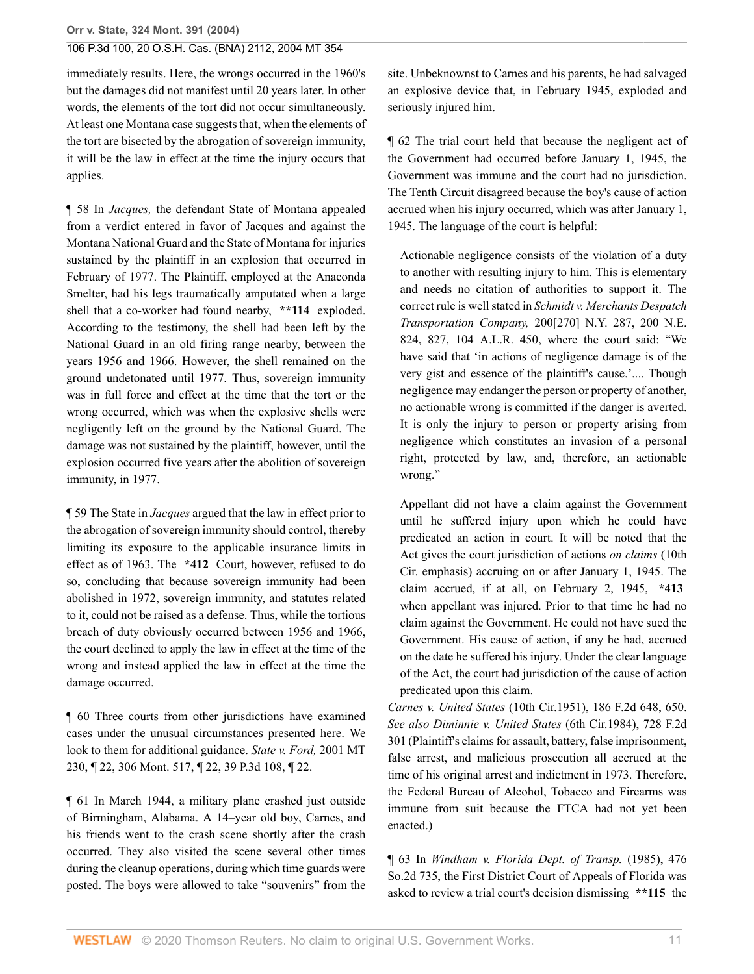immediately results. Here, the wrongs occurred in the 1960's but the damages did not manifest until 20 years later. In other words, the elements of the tort did not occur simultaneously. At least one Montana case suggests that, when the elements of the tort are bisected by the abrogation of sovereign immunity, it will be the law in effect at the time the injury occurs that applies.

¶ 58 In *Jacques,* the defendant State of Montana appealed from a verdict entered in favor of Jacques and against the Montana National Guard and the State of Montana for injuries sustained by the plaintiff in an explosion that occurred in February of 1977. The Plaintiff, employed at the Anaconda Smelter, had his legs traumatically amputated when a large shell that a co-worker had found nearby, **\*\*114** exploded. According to the testimony, the shell had been left by the National Guard in an old firing range nearby, between the years 1956 and 1966. However, the shell remained on the ground undetonated until 1977. Thus, sovereign immunity was in full force and effect at the time that the tort or the wrong occurred, which was when the explosive shells were negligently left on the ground by the National Guard. The damage was not sustained by the plaintiff, however, until the explosion occurred five years after the abolition of sovereign immunity, in 1977.

¶ 59 The State in *Jacques* argued that the law in effect prior to the abrogation of sovereign immunity should control, thereby limiting its exposure to the applicable insurance limits in effect as of 1963. The **\*412** Court, however, refused to do so, concluding that because sovereign immunity had been abolished in 1972, sovereign immunity, and statutes related to it, could not be raised as a defense. Thus, while the tortious breach of duty obviously occurred between 1956 and 1966, the court declined to apply the law in effect at the time of the wrong and instead applied the law in effect at the time the damage occurred.

¶ 60 Three courts from other jurisdictions have examined cases under the unusual circumstances presented here. We look to them for additional guidance. *[State v. Ford,](http://www.westlaw.com/Link/Document/FullText?findType=Y&serNum=2001989558&pubNum=0004645&originatingDoc=I41a70aa7f79e11d99439b076ef9ec4de&refType=RP&originationContext=document&vr=3.0&rs=cblt1.0&transitionType=DocumentItem&contextData=(sc.Search))* 2001 MT [230, ¶ 22, 306 Mont. 517, ¶ 22, 39 P.3d 108, ¶ 22](http://www.westlaw.com/Link/Document/FullText?findType=Y&serNum=2001989558&pubNum=0004645&originatingDoc=I41a70aa7f79e11d99439b076ef9ec4de&refType=RP&originationContext=document&vr=3.0&rs=cblt1.0&transitionType=DocumentItem&contextData=(sc.Search)).

¶ 61 In March 1944, a military plane crashed just outside of Birmingham, Alabama. A 14–year old boy, Carnes, and his friends went to the crash scene shortly after the crash occurred. They also visited the scene several other times during the cleanup operations, during which time guards were posted. The boys were allowed to take "souvenirs" from the

site. Unbeknownst to Carnes and his parents, he had salvaged an explosive device that, in February 1945, exploded and seriously injured him.

¶ 62 The trial court held that because the negligent act of the Government had occurred before January 1, 1945, the Government was immune and the court had no jurisdiction. The Tenth Circuit disagreed because the boy's cause of action accrued when his injury occurred, which was after January 1, 1945. The language of the court is helpful:

Actionable negligence consists of the violation of a duty to another with resulting injury to him. This is elementary and needs no citation of authorities to support it. The correct rule is well stated in *[Schmidt v. Merchants Despatch](http://www.westlaw.com/Link/Document/FullText?findType=Y&serNum=1936102016&pubNum=0000104&originatingDoc=I41a70aa7f79e11d99439b076ef9ec4de&refType=RP&originationContext=document&vr=3.0&rs=cblt1.0&transitionType=DocumentItem&contextData=(sc.Search)) Transportation Company,* [200\[270\] N.Y. 287, 200 N.E.](http://www.westlaw.com/Link/Document/FullText?findType=Y&serNum=1936102016&pubNum=0000104&originatingDoc=I41a70aa7f79e11d99439b076ef9ec4de&refType=RP&originationContext=document&vr=3.0&rs=cblt1.0&transitionType=DocumentItem&contextData=(sc.Search)) [824, 827, 104 A.L.R. 450](http://www.westlaw.com/Link/Document/FullText?findType=Y&serNum=1936102016&pubNum=0000104&originatingDoc=I41a70aa7f79e11d99439b076ef9ec4de&refType=RP&originationContext=document&vr=3.0&rs=cblt1.0&transitionType=DocumentItem&contextData=(sc.Search)), where the court said: "We have said that 'in actions of negligence damage is of the very gist and essence of the plaintiff's cause.'.... Though negligence may endanger the person or property of another, no actionable wrong is committed if the danger is averted. It is only the injury to person or property arising from negligence which constitutes an invasion of a personal right, protected by law, and, therefore, an actionable wrong."

Appellant did not have a claim against the Government until he suffered injury upon which he could have predicated an action in court. It will be noted that the Act gives the court jurisdiction of actions *on claims* (10th Cir. emphasis) accruing on or after January 1, 1945. The claim accrued, if at all, on February 2, 1945, **\*413** when appellant was injured. Prior to that time he had no claim against the Government. He could not have sued the Government. His cause of action, if any he had, accrued on the date he suffered his injury. Under the clear language of the Act, the court had jurisdiction of the cause of action predicated upon this claim.

*Carnes v. United States* [\(10th Cir.1951\), 186 F.2d 648, 650.](http://www.westlaw.com/Link/Document/FullText?findType=Y&serNum=1951116597&pubNum=350&originatingDoc=I41a70aa7f79e11d99439b076ef9ec4de&refType=RP&fi=co_pp_sp_350_650&originationContext=document&vr=3.0&rs=cblt1.0&transitionType=DocumentItem&contextData=(sc.Search)#co_pp_sp_350_650) *See also [Diminnie v. United States](http://www.westlaw.com/Link/Document/FullText?findType=Y&serNum=1984109028&pubNum=0000350&originatingDoc=I41a70aa7f79e11d99439b076ef9ec4de&refType=RP&originationContext=document&vr=3.0&rs=cblt1.0&transitionType=DocumentItem&contextData=(sc.Search))* (6th Cir.1984), 728 F.2d [301](http://www.westlaw.com/Link/Document/FullText?findType=Y&serNum=1984109028&pubNum=0000350&originatingDoc=I41a70aa7f79e11d99439b076ef9ec4de&refType=RP&originationContext=document&vr=3.0&rs=cblt1.0&transitionType=DocumentItem&contextData=(sc.Search)) (Plaintiff's claims for assault, battery, false imprisonment, false arrest, and malicious prosecution all accrued at the time of his original arrest and indictment in 1973. Therefore, the Federal Bureau of Alcohol, Tobacco and Firearms was immune from suit because the FTCA had not yet been enacted.)

¶ 63 In *[Windham v. Florida Dept. of Transp.](http://www.westlaw.com/Link/Document/FullText?findType=Y&serNum=1985147957&pubNum=735&originatingDoc=I41a70aa7f79e11d99439b076ef9ec4de&refType=RP&originationContext=document&vr=3.0&rs=cblt1.0&transitionType=DocumentItem&contextData=(sc.Search))* (1985), 476 [So.2d 735,](http://www.westlaw.com/Link/Document/FullText?findType=Y&serNum=1985147957&pubNum=735&originatingDoc=I41a70aa7f79e11d99439b076ef9ec4de&refType=RP&originationContext=document&vr=3.0&rs=cblt1.0&transitionType=DocumentItem&contextData=(sc.Search)) the First District Court of Appeals of Florida was asked to review a trial court's decision dismissing **\*\*115** the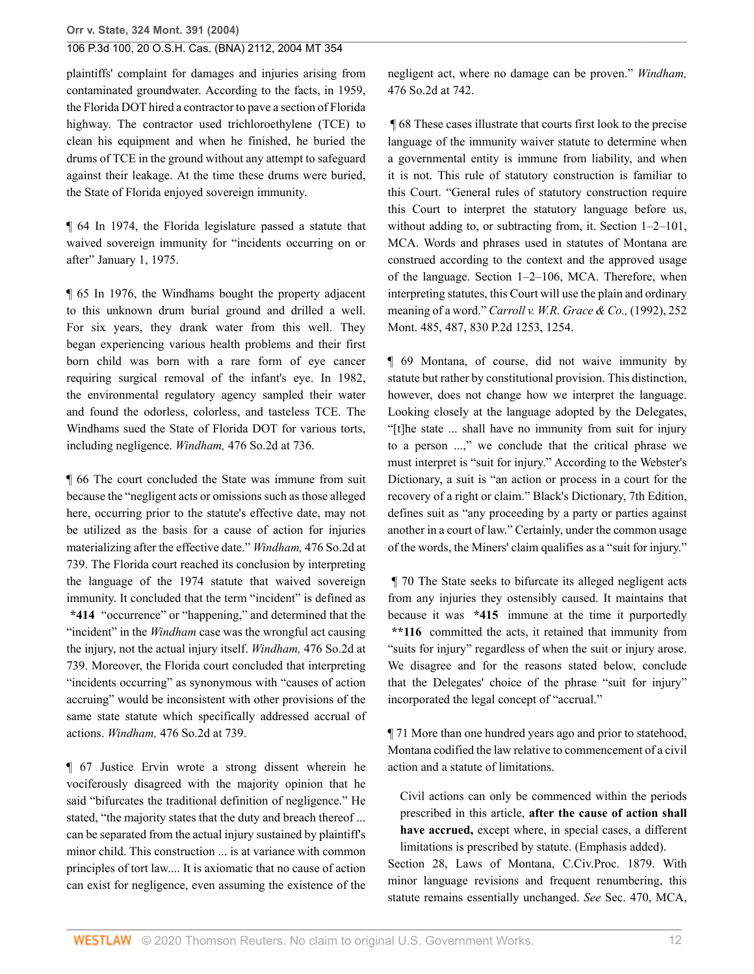plaintiffs' complaint for damages and injuries arising from contaminated groundwater. According to the facts, in 1959, the Florida DOT hired a contractor to pave a section of Florida highway. The contractor used trichloroethylene (TCE) to clean his equipment and when he finished, he buried the drums of TCE in the ground without any attempt to safeguard against their leakage. At the time these drums were buried, the State of Florida enjoyed sovereign immunity.

¶ 64 In 1974, the Florida legislature passed a statute that waived sovereign immunity for "incidents occurring on or after" January 1, 1975.

¶ 65 In 1976, the Windhams bought the property adjacent to this unknown drum burial ground and drilled a well. For six years, they drank water from this well. They began experiencing various health problems and their first born child was born with a rare form of [eye cancer](http://www.westlaw.com/Link/Document/FullText?entityType=disease&entityId=Ibf045a7f475411db9765f9243f53508a&originationContext=document&transitionType=DocumentItem&contextData=(sc.Default)&vr=3.0&rs=cblt1.0) requiring surgical removal of the infant's eye. In 1982, the environmental regulatory agency sampled their water and found the odorless, colorless, and tasteless TCE. The Windhams sued the State of Florida DOT for various torts, including negligence. *Windham,* [476 So.2d at 736](http://www.westlaw.com/Link/Document/FullText?findType=Y&serNum=1985147957&pubNum=0000735&originatingDoc=I41a70aa7f79e11d99439b076ef9ec4de&refType=RP&fi=co_pp_sp_735_736&originationContext=document&vr=3.0&rs=cblt1.0&transitionType=DocumentItem&contextData=(sc.Search)#co_pp_sp_735_736).

¶ 66 The court concluded the State was immune from suit because the "negligent acts or omissions such as those alleged here, occurring prior to the statute's effective date, may not be utilized as the basis for a cause of action for injuries materializing after the effective date." *Windham,* [476 So.2d at](http://www.westlaw.com/Link/Document/FullText?findType=Y&serNum=1985147957&pubNum=735&originatingDoc=I41a70aa7f79e11d99439b076ef9ec4de&refType=RP&fi=co_pp_sp_735_739&originationContext=document&vr=3.0&rs=cblt1.0&transitionType=DocumentItem&contextData=(sc.Search)#co_pp_sp_735_739) [739.](http://www.westlaw.com/Link/Document/FullText?findType=Y&serNum=1985147957&pubNum=735&originatingDoc=I41a70aa7f79e11d99439b076ef9ec4de&refType=RP&fi=co_pp_sp_735_739&originationContext=document&vr=3.0&rs=cblt1.0&transitionType=DocumentItem&contextData=(sc.Search)#co_pp_sp_735_739) The Florida court reached its conclusion by interpreting the language of the 1974 statute that waived sovereign immunity. It concluded that the term "incident" is defined as **\*414** "occurrence" or "happening," and determined that the "incident" in the *Windham* case was the wrongful act causing the injury, not the actual injury itself. *Windham,* [476 So.2d at](http://www.westlaw.com/Link/Document/FullText?findType=Y&serNum=1985147957&pubNum=735&originatingDoc=I41a70aa7f79e11d99439b076ef9ec4de&refType=RP&fi=co_pp_sp_735_739&originationContext=document&vr=3.0&rs=cblt1.0&transitionType=DocumentItem&contextData=(sc.Search)#co_pp_sp_735_739) [739.](http://www.westlaw.com/Link/Document/FullText?findType=Y&serNum=1985147957&pubNum=735&originatingDoc=I41a70aa7f79e11d99439b076ef9ec4de&refType=RP&fi=co_pp_sp_735_739&originationContext=document&vr=3.0&rs=cblt1.0&transitionType=DocumentItem&contextData=(sc.Search)#co_pp_sp_735_739) Moreover, the Florida court concluded that interpreting "incidents occurring" as synonymous with "causes of action accruing" would be inconsistent with other provisions of the same state statute which specifically addressed accrual of actions. *Windham,* [476 So.2d at 739.](http://www.westlaw.com/Link/Document/FullText?findType=Y&serNum=1985147957&pubNum=0000735&originatingDoc=I41a70aa7f79e11d99439b076ef9ec4de&refType=RP&fi=co_pp_sp_735_739&originationContext=document&vr=3.0&rs=cblt1.0&transitionType=DocumentItem&contextData=(sc.Search)#co_pp_sp_735_739)

¶ 67 Justice Ervin wrote a strong dissent wherein he vociferously disagreed with the majority opinion that he said "bifurcates the traditional definition of negligence." He stated, "the majority states that the duty and breach thereof ... can be separated from the actual injury sustained by plaintiff's minor child. This construction ... is at variance with common principles of tort law.... It is axiomatic that no cause of action can exist for negligence, even assuming the existence of the negligent act, where no damage can be proven." *[Windham,](http://www.westlaw.com/Link/Document/FullText?findType=Y&serNum=1985147957&pubNum=0000735&originatingDoc=I41a70aa7f79e11d99439b076ef9ec4de&refType=RP&fi=co_pp_sp_735_742&originationContext=document&vr=3.0&rs=cblt1.0&transitionType=DocumentItem&contextData=(sc.Search)#co_pp_sp_735_742)* [476 So.2d at 742.](http://www.westlaw.com/Link/Document/FullText?findType=Y&serNum=1985147957&pubNum=0000735&originatingDoc=I41a70aa7f79e11d99439b076ef9ec4de&refType=RP&fi=co_pp_sp_735_742&originationContext=document&vr=3.0&rs=cblt1.0&transitionType=DocumentItem&contextData=(sc.Search)#co_pp_sp_735_742)

 ¶ 68 These cases illustrate that courts first look to the precise language of the immunity waiver statute to determine when a governmental entity is immune from liability, and when it is not. This rule of statutory construction is familiar to this Court. "General rules of statutory construction require this Court to interpret the statutory language before us, without adding to, or subtracting from, it. [Section 1–2–101,](http://www.westlaw.com/Link/Document/FullText?findType=L&pubNum=1002018&cite=MTST1-2-101&originatingDoc=I41a70aa7f79e11d99439b076ef9ec4de&refType=LQ&originationContext=document&vr=3.0&rs=cblt1.0&transitionType=DocumentItem&contextData=(sc.Search)) [MCA.](http://www.westlaw.com/Link/Document/FullText?findType=L&pubNum=1002018&cite=MTST1-2-101&originatingDoc=I41a70aa7f79e11d99439b076ef9ec4de&refType=LQ&originationContext=document&vr=3.0&rs=cblt1.0&transitionType=DocumentItem&contextData=(sc.Search)) Words and phrases used in statutes of Montana are construed according to the context and the approved usage of the language. [Section 1–2–106, MCA](http://www.westlaw.com/Link/Document/FullText?findType=L&pubNum=1002018&cite=MTST1-2-106&originatingDoc=I41a70aa7f79e11d99439b076ef9ec4de&refType=LQ&originationContext=document&vr=3.0&rs=cblt1.0&transitionType=DocumentItem&contextData=(sc.Search)). Therefore, when interpreting statutes, this Court will use the plain and ordinary meaning of a word." *[Carroll v. W.R. Grace & Co.,](http://www.westlaw.com/Link/Document/FullText?findType=Y&serNum=1992025647&pubNum=0000661&originatingDoc=I41a70aa7f79e11d99439b076ef9ec4de&refType=RP&fi=co_pp_sp_661_1254&originationContext=document&vr=3.0&rs=cblt1.0&transitionType=DocumentItem&contextData=(sc.Search)#co_pp_sp_661_1254)* (1992), 252 [Mont. 485, 487, 830 P.2d 1253, 1254.](http://www.westlaw.com/Link/Document/FullText?findType=Y&serNum=1992025647&pubNum=0000661&originatingDoc=I41a70aa7f79e11d99439b076ef9ec4de&refType=RP&fi=co_pp_sp_661_1254&originationContext=document&vr=3.0&rs=cblt1.0&transitionType=DocumentItem&contextData=(sc.Search)#co_pp_sp_661_1254)

¶ 69 Montana, of course, did not waive immunity by statute but rather by constitutional provision. This distinction, however, does not change how we interpret the language. Looking closely at the language adopted by the Delegates, "[t]he state ... shall have no immunity from suit for injury to a person ...," we conclude that the critical phrase we must interpret is "suit for injury." According to the Webster's Dictionary, a suit is "an action or process in a court for the recovery of a right or claim." Black's Dictionary, 7th Edition, defines suit as "any proceeding by a party or parties against another in a court of law." Certainly, under the common usage of the words, the Miners' claim qualifies as a "suit for injury."

 ¶ 70 The State seeks to bifurcate its alleged negligent acts from any injuries they ostensibly caused. It maintains that because it was **\*415** immune at the time it purportedly **\*\*116** committed the acts, it retained that immunity from "suits for injury" regardless of when the suit or injury arose. We disagree and for the reasons stated below, conclude that the Delegates' choice of the phrase "suit for injury" incorporated the legal concept of "accrual."

¶ 71 More than one hundred years ago and prior to statehood, Montana codified the law relative to commencement of a civil action and a statute of limitations.

Civil actions can only be commenced within the periods prescribed in this article, **after the cause of action shall have accrued,** except where, in special cases, a different limitations is prescribed by statute. (Emphasis added).

Section 28, Laws of Montana, C.Civ.Proc. 1879. With minor language revisions and frequent renumbering, this statute remains essentially unchanged. *See* Sec. 470, MCA,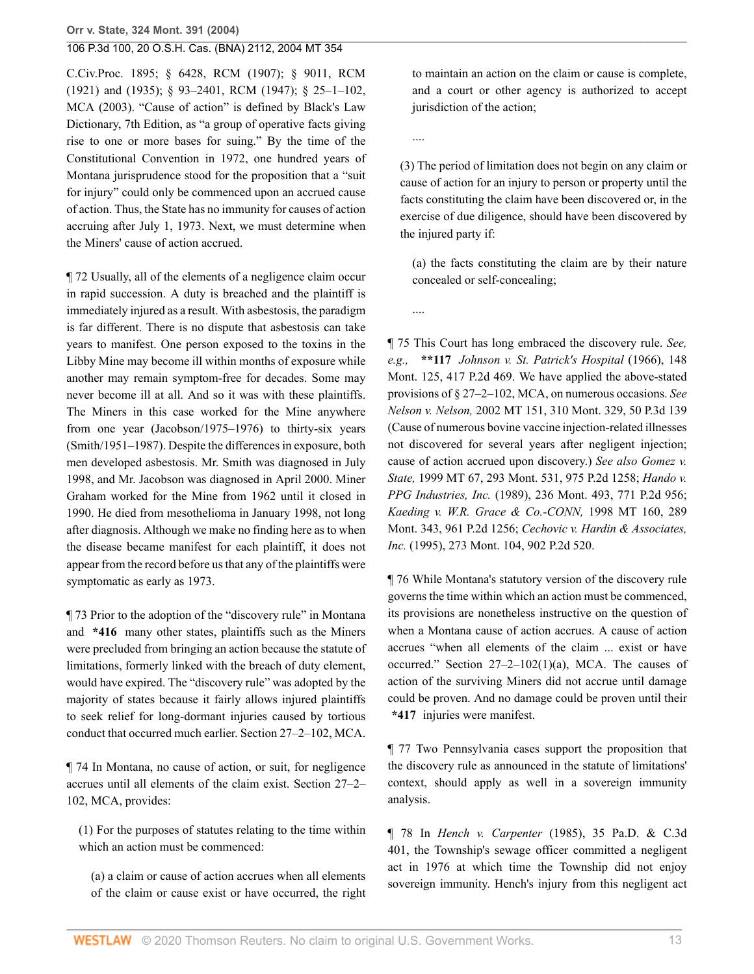C.Civ.Proc. 1895; § 6428, RCM (1907); § 9011, RCM (1921) and (1935); § 93–2401, RCM (1947); [§ 25–1–102,](http://www.westlaw.com/Link/Document/FullText?findType=L&pubNum=1002018&cite=MTST25-1-102&originatingDoc=I41a70aa7f79e11d99439b076ef9ec4de&refType=LQ&originationContext=document&vr=3.0&rs=cblt1.0&transitionType=DocumentItem&contextData=(sc.Search)) [MCA \(2003\).](http://www.westlaw.com/Link/Document/FullText?findType=L&pubNum=1002018&cite=MTST25-1-102&originatingDoc=I41a70aa7f79e11d99439b076ef9ec4de&refType=LQ&originationContext=document&vr=3.0&rs=cblt1.0&transitionType=DocumentItem&contextData=(sc.Search)) "Cause of action" is defined by Black's Law Dictionary, 7th Edition, as "a group of operative facts giving rise to one or more bases for suing." By the time of the Constitutional Convention in 1972, one hundred years of Montana jurisprudence stood for the proposition that a "suit for injury" could only be commenced upon an accrued cause of action. Thus, the State has no immunity for causes of action accruing after July 1, 1973. Next, we must determine when the Miners' cause of action accrued.

¶ 72 Usually, all of the elements of a negligence claim occur in rapid succession. A duty is breached and the plaintiff is immediately injured as a result. With [asbestosis,](http://www.westlaw.com/Link/Document/FullText?entityType=disease&entityId=Ic280891e475411db9765f9243f53508a&originationContext=document&transitionType=DocumentItem&contextData=(sc.Default)&vr=3.0&rs=cblt1.0) the paradigm is far different. There is no dispute that [asbestosis](http://www.westlaw.com/Link/Document/FullText?entityType=disease&entityId=Ic280891e475411db9765f9243f53508a&originationContext=document&transitionType=DocumentItem&contextData=(sc.Default)&vr=3.0&rs=cblt1.0) can take years to manifest. One person exposed to the toxins in the Libby Mine may become ill within months of exposure while another may remain symptom-free for decades. Some may never become ill at all. And so it was with these plaintiffs. The Miners in this case worked for the Mine anywhere from one year (Jacobson/1975–1976) to thirty-six years (Smith/1951–1987). Despite the differences in exposure, both men developed [asbestosis](http://www.westlaw.com/Link/Document/FullText?entityType=disease&entityId=Ic280891e475411db9765f9243f53508a&originationContext=document&transitionType=DocumentItem&contextData=(sc.Default)&vr=3.0&rs=cblt1.0). Mr. Smith was diagnosed in July 1998, and Mr. Jacobson was diagnosed in April 2000. Miner Graham worked for the Mine from 1962 until it closed in 1990. He died from [mesothelioma](http://www.westlaw.com/Link/Document/FullText?entityType=disease&entityId=Ica87e4fe475411db9765f9243f53508a&originationContext=document&transitionType=DocumentItem&contextData=(sc.Default)&vr=3.0&rs=cblt1.0) in January 1998, not long after diagnosis. Although we make no finding here as to when the disease became manifest for each plaintiff, it does not appear from the record before us that any of the plaintiffs were symptomatic as early as 1973.

¶ 73 Prior to the adoption of the "discovery rule" in Montana and **\*416** many other states, plaintiffs such as the Miners were precluded from bringing an action because the statute of limitations, formerly linked with the breach of duty element, would have expired. The "discovery rule" was adopted by the majority of states because it fairly allows injured plaintiffs to seek relief for long-dormant injuries caused by tortious conduct that occurred much earlier. [Section 27–2–102, MCA.](http://www.westlaw.com/Link/Document/FullText?findType=L&pubNum=1002018&cite=MTST27-2-102&originatingDoc=I41a70aa7f79e11d99439b076ef9ec4de&refType=LQ&originationContext=document&vr=3.0&rs=cblt1.0&transitionType=DocumentItem&contextData=(sc.Search))

¶ 74 In Montana, no cause of action, or suit, for negligence accrues until all elements of the claim exist. [Section 27–2–](http://www.westlaw.com/Link/Document/FullText?findType=L&pubNum=1002018&cite=MTST27-2-102&originatingDoc=I41a70aa7f79e11d99439b076ef9ec4de&refType=LQ&originationContext=document&vr=3.0&rs=cblt1.0&transitionType=DocumentItem&contextData=(sc.Search)) [102, MCA,](http://www.westlaw.com/Link/Document/FullText?findType=L&pubNum=1002018&cite=MTST27-2-102&originatingDoc=I41a70aa7f79e11d99439b076ef9ec4de&refType=LQ&originationContext=document&vr=3.0&rs=cblt1.0&transitionType=DocumentItem&contextData=(sc.Search)) provides:

(1) For the purposes of statutes relating to the time within which an action must be commenced:

(a) a claim or cause of action accrues when all elements of the claim or cause exist or have occurred, the right to maintain an action on the claim or cause is complete, and a court or other agency is authorized to accept jurisdiction of the action;

....

....

(3) The period of limitation does not begin on any claim or cause of action for an injury to person or property until the facts constituting the claim have been discovered or, in the exercise of due diligence, should have been discovered by the injured party if:

(a) the facts constituting the claim are by their nature concealed or self-concealing;

¶ 75 This Court has long embraced the discovery rule. *See, e.g.,* **\*\*117** *[Johnson v. St. Patrick's Hospital](http://www.westlaw.com/Link/Document/FullText?findType=Y&serNum=1966130282&pubNum=661&originatingDoc=I41a70aa7f79e11d99439b076ef9ec4de&refType=RP&originationContext=document&vr=3.0&rs=cblt1.0&transitionType=DocumentItem&contextData=(sc.Search))* (1966), 148 [Mont. 125, 417 P.2d 469.](http://www.westlaw.com/Link/Document/FullText?findType=Y&serNum=1966130282&pubNum=661&originatingDoc=I41a70aa7f79e11d99439b076ef9ec4de&refType=RP&originationContext=document&vr=3.0&rs=cblt1.0&transitionType=DocumentItem&contextData=(sc.Search)) We have applied the above-stated provisions of [§ 27–2–102, MCA](http://www.westlaw.com/Link/Document/FullText?findType=L&pubNum=1002018&cite=MTST27-2-102&originatingDoc=I41a70aa7f79e11d99439b076ef9ec4de&refType=LQ&originationContext=document&vr=3.0&rs=cblt1.0&transitionType=DocumentItem&contextData=(sc.Search)), on numerous occasions. *See Nelson v. Nelson,* [2002 MT 151, 310 Mont. 329, 50 P.3d 139](http://www.westlaw.com/Link/Document/FullText?findType=Y&serNum=2002413991&pubNum=0004645&originatingDoc=I41a70aa7f79e11d99439b076ef9ec4de&refType=RP&originationContext=document&vr=3.0&rs=cblt1.0&transitionType=DocumentItem&contextData=(sc.Search)) (Cause of numerous bovine vaccine injection-related illnesses not discovered for several years after negligent injection; cause of action accrued upon discovery.) *See also [Gomez v.](http://www.westlaw.com/Link/Document/FullText?findType=Y&serNum=1999092756&pubNum=661&originatingDoc=I41a70aa7f79e11d99439b076ef9ec4de&refType=RP&originationContext=document&vr=3.0&rs=cblt1.0&transitionType=DocumentItem&contextData=(sc.Search)) State,* [1999 MT 67, 293 Mont. 531, 975 P.2d 1258;](http://www.westlaw.com/Link/Document/FullText?findType=Y&serNum=1999092756&pubNum=661&originatingDoc=I41a70aa7f79e11d99439b076ef9ec4de&refType=RP&originationContext=document&vr=3.0&rs=cblt1.0&transitionType=DocumentItem&contextData=(sc.Search)) *[Hando v.](http://www.westlaw.com/Link/Document/FullText?findType=Y&serNum=1989048685&pubNum=661&originatingDoc=I41a70aa7f79e11d99439b076ef9ec4de&refType=RP&originationContext=document&vr=3.0&rs=cblt1.0&transitionType=DocumentItem&contextData=(sc.Search)) PPG Industries, Inc.* [\(1989\), 236 Mont. 493, 771 P.2d 956;](http://www.westlaw.com/Link/Document/FullText?findType=Y&serNum=1989048685&pubNum=661&originatingDoc=I41a70aa7f79e11d99439b076ef9ec4de&refType=RP&originationContext=document&vr=3.0&rs=cblt1.0&transitionType=DocumentItem&contextData=(sc.Search)) *[Kaeding v. W.R. Grace & Co.-CONN,](http://www.westlaw.com/Link/Document/FullText?findType=Y&serNum=1998138404&pubNum=661&originatingDoc=I41a70aa7f79e11d99439b076ef9ec4de&refType=RP&originationContext=document&vr=3.0&rs=cblt1.0&transitionType=DocumentItem&contextData=(sc.Search))* 1998 MT 160, 289 [Mont. 343, 961 P.2d 1256;](http://www.westlaw.com/Link/Document/FullText?findType=Y&serNum=1998138404&pubNum=661&originatingDoc=I41a70aa7f79e11d99439b076ef9ec4de&refType=RP&originationContext=document&vr=3.0&rs=cblt1.0&transitionType=DocumentItem&contextData=(sc.Search)) *[Cechovic v. Hardin & Associates,](http://www.westlaw.com/Link/Document/FullText?findType=Y&serNum=1995174975&pubNum=0000661&originatingDoc=I41a70aa7f79e11d99439b076ef9ec4de&refType=RP&originationContext=document&vr=3.0&rs=cblt1.0&transitionType=DocumentItem&contextData=(sc.Search)) Inc.* [\(1995\), 273 Mont. 104, 902 P.2d 520.](http://www.westlaw.com/Link/Document/FullText?findType=Y&serNum=1995174975&pubNum=0000661&originatingDoc=I41a70aa7f79e11d99439b076ef9ec4de&refType=RP&originationContext=document&vr=3.0&rs=cblt1.0&transitionType=DocumentItem&contextData=(sc.Search))

¶ 76 While Montana's statutory version of the discovery rule governs the time within which an action must be commenced, its provisions are nonetheless instructive on the question of when a Montana cause of action accrues. A cause of action accrues "when all elements of the claim ... exist or have occurred." Section  $27-2-102(1)(a)$ , MCA. The causes of action of the surviving Miners did not accrue until damage could be proven. And no damage could be proven until their **\*417** injuries were manifest.

¶ 77 Two Pennsylvania cases support the proposition that the discovery rule as announced in the statute of limitations' context, should apply as well in a sovereign immunity analysis.

¶ 78 In *Hench v. Carpenter* [\(1985\), 35 Pa.D. & C.3d](http://www.westlaw.com/Link/Document/FullText?findType=Y&serNum=1986940075&pubNum=299&originatingDoc=I41a70aa7f79e11d99439b076ef9ec4de&refType=RP&originationContext=document&vr=3.0&rs=cblt1.0&transitionType=DocumentItem&contextData=(sc.Search)) [401,](http://www.westlaw.com/Link/Document/FullText?findType=Y&serNum=1986940075&pubNum=299&originatingDoc=I41a70aa7f79e11d99439b076ef9ec4de&refType=RP&originationContext=document&vr=3.0&rs=cblt1.0&transitionType=DocumentItem&contextData=(sc.Search)) the Township's sewage officer committed a negligent act in 1976 at which time the Township did not enjoy sovereign immunity. Hench's injury from this negligent act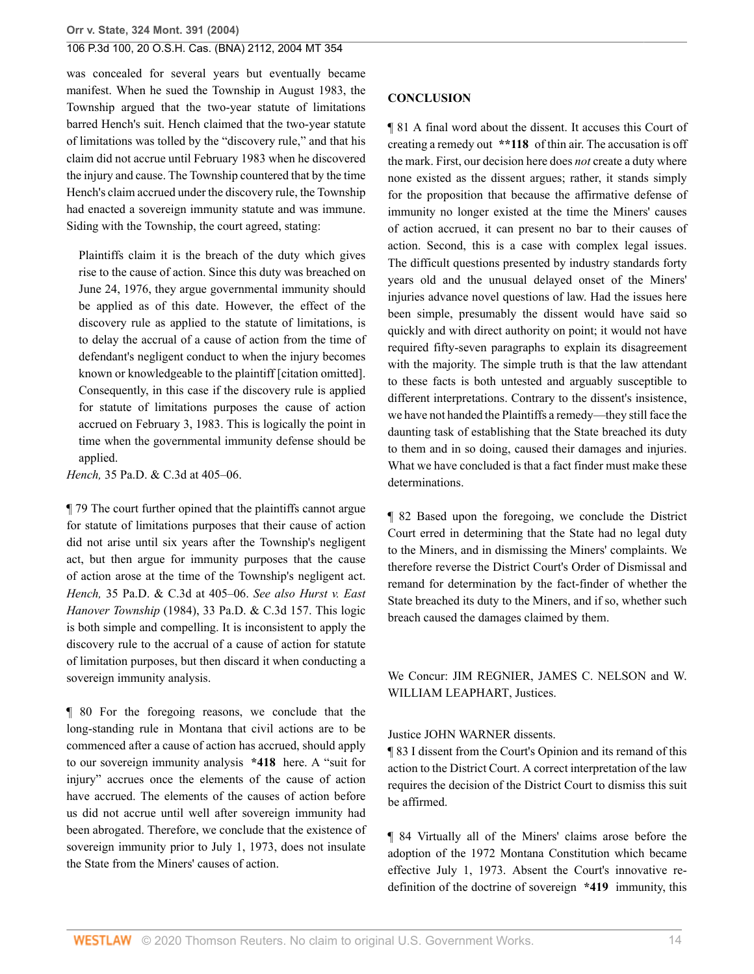was concealed for several years but eventually became manifest. When he sued the Township in August 1983, the Township argued that the two-year statute of limitations barred Hench's suit. Hench claimed that the two-year statute of limitations was tolled by the "discovery rule," and that his claim did not accrue until February 1983 when he discovered the injury and cause. The Township countered that by the time Hench's claim accrued under the discovery rule, the Township had enacted a sovereign immunity statute and was immune. Siding with the Township, the court agreed, stating:

Plaintiffs claim it is the breach of the duty which gives rise to the cause of action. Since this duty was breached on June 24, 1976, they argue governmental immunity should be applied as of this date. However, the effect of the discovery rule as applied to the statute of limitations, is to delay the accrual of a cause of action from the time of defendant's negligent conduct to when the injury becomes known or knowledgeable to the plaintiff [citation omitted]. Consequently, in this case if the discovery rule is applied for statute of limitations purposes the cause of action accrued on February 3, 1983. This is logically the point in time when the governmental immunity defense should be applied.

*Hench,* [35 Pa.D. & C.3d at 405–06.](http://www.westlaw.com/Link/Document/FullText?findType=Y&serNum=1986940075&pubNum=0000299&originatingDoc=I41a70aa7f79e11d99439b076ef9ec4de&refType=RP&fi=co_pp_sp_299_405&originationContext=document&vr=3.0&rs=cblt1.0&transitionType=DocumentItem&contextData=(sc.Search)#co_pp_sp_299_405)

¶ 79 The court further opined that the plaintiffs cannot argue for statute of limitations purposes that their cause of action did not arise until six years after the Township's negligent act, but then argue for immunity purposes that the cause of action arose at the time of the Township's negligent act. *Hench,* [35 Pa.D. & C.3d at 405–06.](http://www.westlaw.com/Link/Document/FullText?findType=Y&serNum=1986940075&pubNum=299&originatingDoc=I41a70aa7f79e11d99439b076ef9ec4de&refType=RP&fi=co_pp_sp_299_405&originationContext=document&vr=3.0&rs=cblt1.0&transitionType=DocumentItem&contextData=(sc.Search)#co_pp_sp_299_405) *See also [Hurst v. East](http://www.westlaw.com/Link/Document/FullText?findType=Y&serNum=1984902459&pubNum=299&originatingDoc=I41a70aa7f79e11d99439b076ef9ec4de&refType=RP&originationContext=document&vr=3.0&rs=cblt1.0&transitionType=DocumentItem&contextData=(sc.Search)) Hanover Township* [\(1984\), 33 Pa.D. & C.3d 157.](http://www.westlaw.com/Link/Document/FullText?findType=Y&serNum=1984902459&pubNum=299&originatingDoc=I41a70aa7f79e11d99439b076ef9ec4de&refType=RP&originationContext=document&vr=3.0&rs=cblt1.0&transitionType=DocumentItem&contextData=(sc.Search)) This logic is both simple and compelling. It is inconsistent to apply the discovery rule to the accrual of a cause of action for statute of limitation purposes, but then discard it when conducting a sovereign immunity analysis.

¶ 80 For the foregoing reasons, we conclude that the long-standing rule in Montana that civil actions are to be commenced after a cause of action has accrued, should apply to our sovereign immunity analysis **\*418** here. A "suit for injury" accrues once the elements of the cause of action have accrued. The elements of the causes of action before us did not accrue until well after sovereign immunity had been abrogated. Therefore, we conclude that the existence of sovereign immunity prior to July 1, 1973, does not insulate the State from the Miners' causes of action.

#### **CONCLUSION**

¶ 81 A final word about the dissent. It accuses this Court of creating a remedy out **\*\*118** of thin air. The accusation is off the mark. First, our decision here does *not* create a duty where none existed as the dissent argues; rather, it stands simply for the proposition that because the affirmative defense of immunity no longer existed at the time the Miners' causes of action accrued, it can present no bar to their causes of action. Second, this is a case with complex legal issues. The difficult questions presented by industry standards forty years old and the unusual delayed onset of the Miners' injuries advance novel questions of law. Had the issues here been simple, presumably the dissent would have said so quickly and with direct authority on point; it would not have required fifty-seven paragraphs to explain its disagreement with the majority. The simple truth is that the law attendant to these facts is both untested and arguably susceptible to different interpretations. Contrary to the dissent's insistence, we have not handed the Plaintiffs a remedy—they still face the daunting task of establishing that the State breached its duty to them and in so doing, caused their damages and injuries. What we have concluded is that a fact finder must make these determinations.

¶ 82 Based upon the foregoing, we conclude the District Court erred in determining that the State had no legal duty to the Miners, and in dismissing the Miners' complaints. We therefore reverse the District Court's Order of Dismissal and remand for determination by the fact-finder of whether the State breached its duty to the Miners, and if so, whether such breach caused the damages claimed by them.

We Concur: JIM REGNIER, [JAMES C. NELSON](http://www.westlaw.com/Link/Document/FullText?findType=h&pubNum=176284&cite=0165656001&originatingDoc=I41a70aa7f79e11d99439b076ef9ec4de&refType=RQ&originationContext=document&vr=3.0&rs=cblt1.0&transitionType=DocumentItem&contextData=(sc.Search)) and [W.](http://www.westlaw.com/Link/Document/FullText?findType=h&pubNum=176284&cite=0208177701&originatingDoc=I41a70aa7f79e11d99439b076ef9ec4de&refType=RQ&originationContext=document&vr=3.0&rs=cblt1.0&transitionType=DocumentItem&contextData=(sc.Search)) [WILLIAM LEAPHART](http://www.westlaw.com/Link/Document/FullText?findType=h&pubNum=176284&cite=0208177701&originatingDoc=I41a70aa7f79e11d99439b076ef9ec4de&refType=RQ&originationContext=document&vr=3.0&rs=cblt1.0&transitionType=DocumentItem&contextData=(sc.Search)), Justices.

#### Justice [JOHN WARNER](http://www.westlaw.com/Link/Document/FullText?findType=h&pubNum=176284&cite=0316888601&originatingDoc=I41a70aa7f79e11d99439b076ef9ec4de&refType=RQ&originationContext=document&vr=3.0&rs=cblt1.0&transitionType=DocumentItem&contextData=(sc.Search)) dissents.

¶ 83 I dissent from the Court's Opinion and its remand of this action to the District Court. A correct interpretation of the law requires the decision of the District Court to dismiss this suit be affirmed.

¶ 84 Virtually all of the Miners' claims arose before the adoption of the 1972 Montana Constitution which became effective July 1, 1973. Absent the Court's innovative redefinition of the doctrine of sovereign **\*419** immunity, this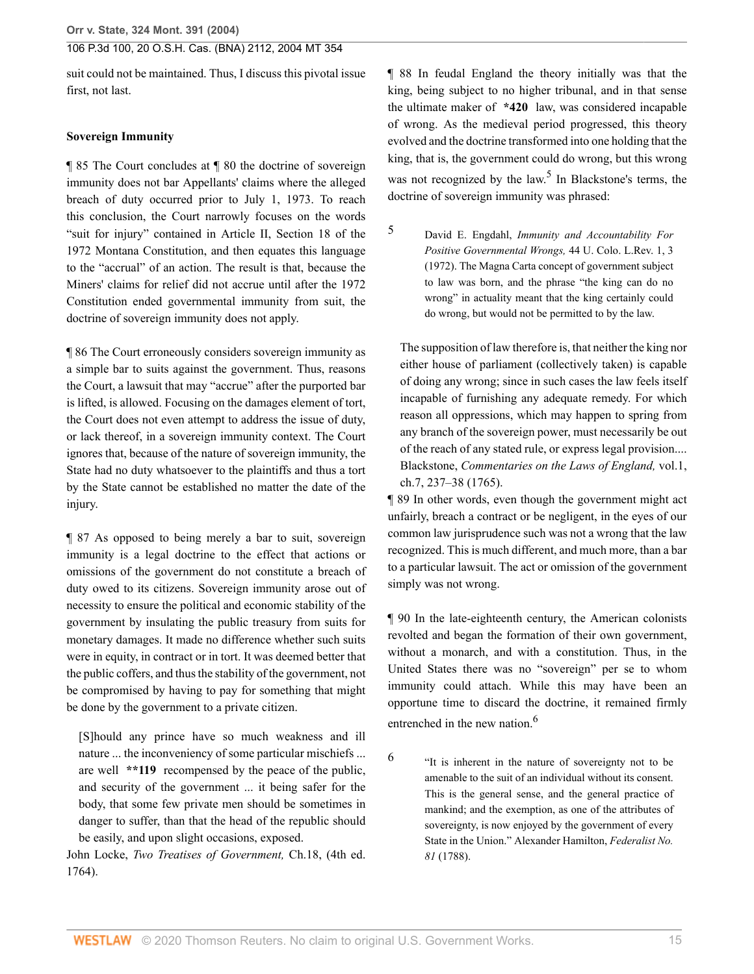suit could not be maintained. Thus, I discuss this pivotal issue first, not last.

### **Sovereign Immunity**

¶ 85 The Court concludes at ¶ 80 the doctrine of sovereign immunity does not bar Appellants' claims where the alleged breach of duty occurred prior to July 1, 1973. To reach this conclusion, the Court narrowly focuses on the words "suit for injury" contained in [Article II, Section 18 of the](http://www.westlaw.com/Link/Document/FullText?findType=L&pubNum=1002018&cite=MTCNSTART2S18&originatingDoc=I41a70aa7f79e11d99439b076ef9ec4de&refType=LQ&originationContext=document&vr=3.0&rs=cblt1.0&transitionType=DocumentItem&contextData=(sc.Search)) [1972 Montana Constitution,](http://www.westlaw.com/Link/Document/FullText?findType=L&pubNum=1002018&cite=MTCNSTART2S18&originatingDoc=I41a70aa7f79e11d99439b076ef9ec4de&refType=LQ&originationContext=document&vr=3.0&rs=cblt1.0&transitionType=DocumentItem&contextData=(sc.Search)) and then equates this language to the "accrual" of an action. The result is that, because the Miners' claims for relief did not accrue until after the 1972 Constitution ended governmental immunity from suit, the doctrine of sovereign immunity does not apply.

¶ 86 The Court erroneously considers sovereign immunity as a simple bar to suits against the government. Thus, reasons the Court, a lawsuit that may "accrue" after the purported bar is lifted, is allowed. Focusing on the damages element of tort, the Court does not even attempt to address the issue of duty, or lack thereof, in a sovereign immunity context. The Court ignores that, because of the nature of sovereign immunity, the State had no duty whatsoever to the plaintiffs and thus a tort by the State cannot be established no matter the date of the injury.

¶ 87 As opposed to being merely a bar to suit, sovereign immunity is a legal doctrine to the effect that actions or omissions of the government do not constitute a breach of duty owed to its citizens. Sovereign immunity arose out of necessity to ensure the political and economic stability of the government by insulating the public treasury from suits for monetary damages. It made no difference whether such suits were in equity, in contract or in tort. It was deemed better that the public coffers, and thus the stability of the government, not be compromised by having to pay for something that might be done by the government to a private citizen.

[S]hould any prince have so much weakness and ill nature ... the inconveniency of some particular mischiefs ... are well **\*\*119** recompensed by the peace of the public, and security of the government ... it being safer for the body, that some few private men should be sometimes in danger to suffer, than that the head of the republic should be easily, and upon slight occasions, exposed.

John Locke, *Two Treatises of Government,* Ch.18, (4th ed. 1764).

¶ 88 In feudal England the theory initially was that the king, being subject to no higher tribunal, and in that sense the ultimate maker of **\*420** law, was considered incapable of wrong. As the medieval period progressed, this theory evolved and the doctrine transformed into one holding that the king, that is, the government could do wrong, but this wrong was not recognized by the law.<sup>[5](#page-14-0)</sup> In Blackstone's terms, the doctrine of sovereign immunity was phrased:

<span id="page-14-1"></span><span id="page-14-0"></span>[5](#page-14-1) David E. Engdahl, *Immunity and Accountability For Positive Governmental Wrongs,* 44 U. Colo. L.Rev. 1, 3 (1972). The Magna Carta concept of government subject to law was born, and the phrase "the king can do no wrong" in actuality meant that the king certainly could do wrong, but would not be permitted to by the law.

The supposition of law therefore is, that neither the king nor either house of parliament (collectively taken) is capable of doing any wrong; since in such cases the law feels itself incapable of furnishing any adequate remedy. For which reason all oppressions, which may happen to spring from any branch of the sovereign power, must necessarily be out of the reach of any stated rule, or express legal provision.... Blackstone, *Commentaries on the Laws of England,* vol.1, ch.7, 237–38 (1765).

¶ 89 In other words, even though the government might act unfairly, breach a contract or be negligent, in the eyes of our common law jurisprudence such was not a wrong that the law recognized. This is much different, and much more, than a bar to a particular lawsuit. The act or omission of the government simply was not wrong.

¶ 90 In the late-eighteenth century, the American colonists revolted and began the formation of their own government, without a monarch, and with a constitution. Thus, in the United States there was no "sovereign" per se to whom immunity could attach. While this may have been an opportune time to discard the doctrine, it remained firmly entrenched in the new nation.<sup>[6](#page-14-2)</sup>

<span id="page-14-3"></span>"It is inherent in the nature of sovereignty not to be amenable to the suit of an individual without its consent. This is the general sense, and the general practice of mankind; and the exemption, as one of the attributes of sovereignty, is now enjoyed by the government of every State in the Union." Alexander Hamilton, *Federalist No. 81* (1788).

<span id="page-14-2"></span>[6](#page-14-3)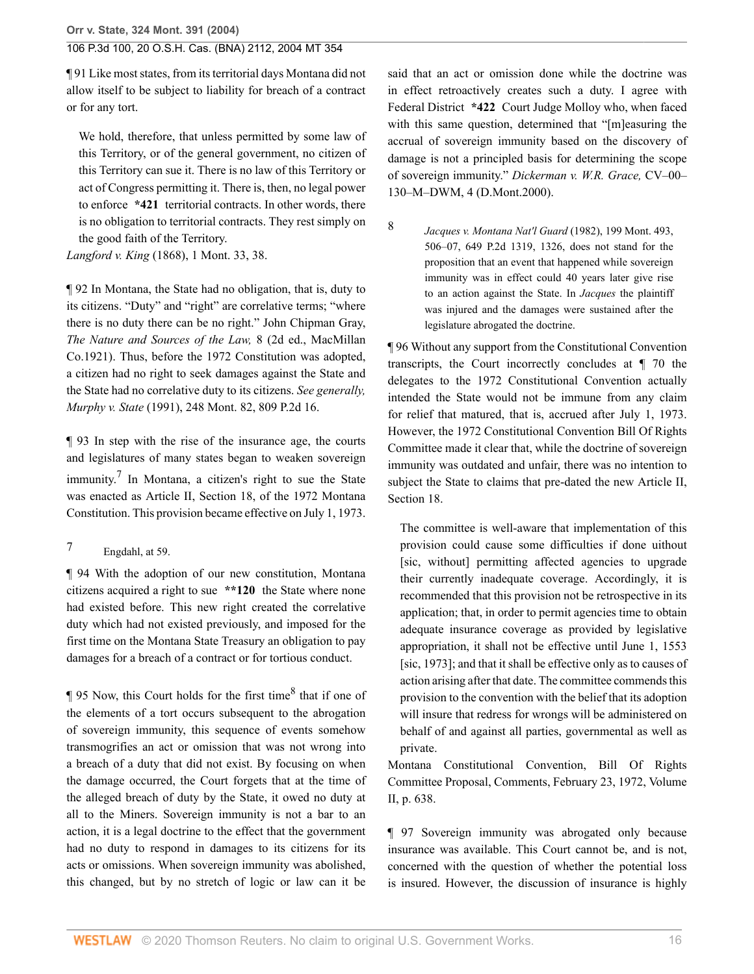**Orr v. State, 324 Mont. 391 (2004)**

### 106 P.3d 100, 20 O.S.H. Cas. (BNA) 2112, 2004 MT 354

¶ 91 Like most states, from its territorial days Montana did not allow itself to be subject to liability for breach of a contract or for any tort.

We hold, therefore, that unless permitted by some law of this Territory, or of the general government, no citizen of this Territory can sue it. There is no law of this Territory or act of Congress permitting it. There is, then, no legal power to enforce **\*421** territorial contracts. In other words, there is no obligation to territorial contracts. They rest simply on the good faith of the Territory.

*Langford v. King* [\(1868\), 1 Mont. 33, 38.](http://www.westlaw.com/Link/Document/FullText?findType=Y&serNum=1868008908&pubNum=0000561&originatingDoc=I41a70aa7f79e11d99439b076ef9ec4de&refType=RP&fi=co_pp_sp_561_38&originationContext=document&vr=3.0&rs=cblt1.0&transitionType=DocumentItem&contextData=(sc.Search)#co_pp_sp_561_38)

¶ 92 In Montana, the State had no obligation, that is, duty to its citizens. "Duty" and "right" are correlative terms; "where there is no duty there can be no right." John Chipman Gray, *The Nature and Sources of the Law,* 8 (2d ed., MacMillan Co.1921). Thus, before the 1972 Constitution was adopted, a citizen had no right to seek damages against the State and the State had no correlative duty to its citizens. *See generally, Murphy v. State* [\(1991\), 248 Mont. 82, 809 P.2d 16](http://www.westlaw.com/Link/Document/FullText?findType=Y&serNum=1991073803&pubNum=0000661&originatingDoc=I41a70aa7f79e11d99439b076ef9ec4de&refType=RP&originationContext=document&vr=3.0&rs=cblt1.0&transitionType=DocumentItem&contextData=(sc.Search)).

<span id="page-15-1"></span>¶ 93 In step with the rise of the insurance age, the courts and legislatures of many states began to weaken sovereign immunity.<sup>[7](#page-15-0)</sup> In Montana, a citizen's right to sue the State was enacted as [Article II, Section 18, of the 1972 Montana](http://www.westlaw.com/Link/Document/FullText?findType=L&pubNum=1002018&cite=MTCNSTART2S18&originatingDoc=I41a70aa7f79e11d99439b076ef9ec4de&refType=LQ&originationContext=document&vr=3.0&rs=cblt1.0&transitionType=DocumentItem&contextData=(sc.Search)) [Constitution](http://www.westlaw.com/Link/Document/FullText?findType=L&pubNum=1002018&cite=MTCNSTART2S18&originatingDoc=I41a70aa7f79e11d99439b076ef9ec4de&refType=LQ&originationContext=document&vr=3.0&rs=cblt1.0&transitionType=DocumentItem&contextData=(sc.Search)). This provision became effective on July 1, 1973.

¶ 94 With the adoption of our new constitution, Montana citizens acquired a right to sue **\*\*120** the State where none had existed before. This new right created the correlative duty which had not existed previously, and imposed for the first time on the Montana State Treasury an obligation to pay damages for a breach of a contract or for tortious conduct.

 $\P$  95 Now, this Court holds for the first time<sup>[8](#page-15-2)</sup> that if one of the elements of a tort occurs subsequent to the abrogation of sovereign immunity, this sequence of events somehow transmogrifies an act or omission that was not wrong into a breach of a duty that did not exist. By focusing on when the damage occurred, the Court forgets that at the time of the alleged breach of duty by the State, it owed no duty at all to the Miners. Sovereign immunity is not a bar to an action, it is a legal doctrine to the effect that the government had no duty to respond in damages to its citizens for its acts or omissions. When sovereign immunity was abolished, this changed, but by no stretch of logic or law can it be

said that an act or omission done while the doctrine was in effect retroactively creates such a duty. I agree with Federal District **\*422** Court Judge Molloy who, when faced with this same question, determined that "[m]easuring the accrual of sovereign immunity based on the discovery of damage is not a principled basis for determining the scope of sovereign immunity." *Dickerman v. W.R. Grace,* CV–00– 130–M–DWM, 4 (D.Mont.2000).

*[Jacques v. Montana Nat'l Guard](http://www.westlaw.com/Link/Document/FullText?findType=Y&serNum=1982137794&pubNum=661&originatingDoc=I41a70aa7f79e11d99439b076ef9ec4de&refType=RP&fi=co_pp_sp_661_1326&originationContext=document&vr=3.0&rs=cblt1.0&transitionType=DocumentItem&contextData=(sc.Search)#co_pp_sp_661_1326)* (1982), 199 Mont. 493, [506–07, 649 P.2d 1319, 1326,](http://www.westlaw.com/Link/Document/FullText?findType=Y&serNum=1982137794&pubNum=661&originatingDoc=I41a70aa7f79e11d99439b076ef9ec4de&refType=RP&fi=co_pp_sp_661_1326&originationContext=document&vr=3.0&rs=cblt1.0&transitionType=DocumentItem&contextData=(sc.Search)#co_pp_sp_661_1326) does not stand for the proposition that an event that happened while sovereign immunity was in effect could 40 years later give rise to an action against the State. In *Jacques* the plaintiff was injured and the damages were sustained after the legislature abrogated the doctrine.

<span id="page-15-2"></span>[8](#page-15-3)

¶ 96 Without any support from the Constitutional Convention transcripts, the Court incorrectly concludes at ¶ 70 the delegates to the 1972 Constitutional Convention actually intended the State would not be immune from any claim for relief that matured, that is, accrued after July 1, 1973. However, the 1972 Constitutional Convention Bill Of Rights Committee made it clear that, while the doctrine of sovereign immunity was outdated and unfair, there was no intention to subject the State to claims that pre-dated the new [Article II,](http://www.westlaw.com/Link/Document/FullText?findType=L&pubNum=1002028&cite=MTCNSTART2S18&originatingDoc=I41a70aa7f79e11d99439b076ef9ec4de&refType=LQ&originationContext=document&vr=3.0&rs=cblt1.0&transitionType=DocumentItem&contextData=(sc.Search)) [Section 18](http://www.westlaw.com/Link/Document/FullText?findType=L&pubNum=1002028&cite=MTCNSTART2S18&originatingDoc=I41a70aa7f79e11d99439b076ef9ec4de&refType=LQ&originationContext=document&vr=3.0&rs=cblt1.0&transitionType=DocumentItem&contextData=(sc.Search)).

The committee is well-aware that implementation of this provision could cause some difficulties if done uithout [sic, without] permitting affected agencies to upgrade their currently inadequate coverage. Accordingly, it is recommended that this provision not be retrospective in its application; that, in order to permit agencies time to obtain adequate insurance coverage as provided by legislative appropriation, it shall not be effective until June 1, 1553 [sic, 1973]; and that it shall be effective only as to causes of action arising after that date. The committee commends this provision to the convention with the belief that its adoption will insure that redress for wrongs will be administered on behalf of and against all parties, governmental as well as private.

<span id="page-15-3"></span>Montana Constitutional Convention, Bill Of Rights Committee Proposal, Comments, February 23, 1972, Volume II, p. 638.

¶ 97 Sovereign immunity was abrogated only because insurance was available. This Court cannot be, and is not, concerned with the question of whether the potential loss is insured. However, the discussion of insurance is highly

<span id="page-15-0"></span> $7 \qquad$  $7 \qquad$  Engdahl, at 59.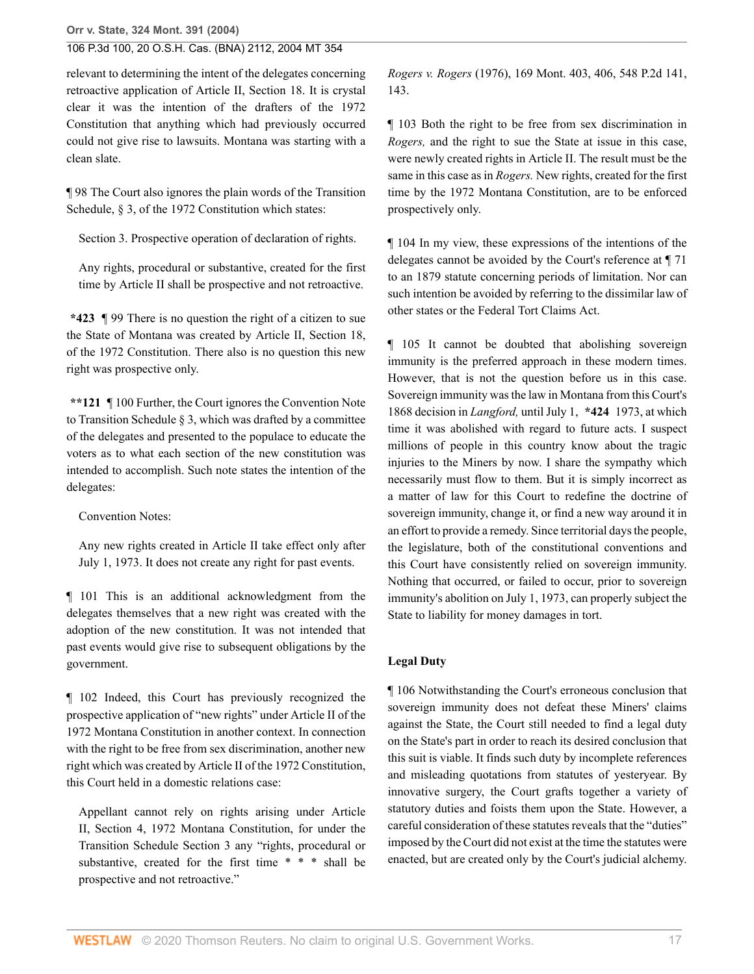relevant to determining the intent of the delegates concerning retroactive application of [Article II, Section 18](http://www.westlaw.com/Link/Document/FullText?findType=L&pubNum=1002028&cite=MTCNSTART2S18&originatingDoc=I41a70aa7f79e11d99439b076ef9ec4de&refType=LQ&originationContext=document&vr=3.0&rs=cblt1.0&transitionType=DocumentItem&contextData=(sc.Search)). It is crystal clear it was the intention of the drafters of the 1972 Constitution that anything which had previously occurred could not give rise to lawsuits. Montana was starting with a clean slate.

¶ 98 The Court also ignores the plain words of the Transition Schedule, § 3, of the 1972 Constitution which states:

Section 3. Prospective operation of declaration of rights.

Any rights, procedural or substantive, created for the first time by [Article II](http://www.westlaw.com/Link/Document/FullText?findType=L&pubNum=1002018&cite=MTCNSTART2S18&originatingDoc=I41a70aa7f79e11d99439b076ef9ec4de&refType=LQ&originationContext=document&vr=3.0&rs=cblt1.0&transitionType=DocumentItem&contextData=(sc.Search)) shall be prospective and not retroactive.

**\*423** ¶ 99 There is no question the right of a citizen to sue the State of Montana was created by [Article II, Section 18,](http://www.westlaw.com/Link/Document/FullText?findType=L&pubNum=1002018&cite=MTCNSTART2S18&originatingDoc=I41a70aa7f79e11d99439b076ef9ec4de&refType=LQ&originationContext=document&vr=3.0&rs=cblt1.0&transitionType=DocumentItem&contextData=(sc.Search)) [of the 1972 Constitution.](http://www.westlaw.com/Link/Document/FullText?findType=L&pubNum=1002018&cite=MTCNSTART2S18&originatingDoc=I41a70aa7f79e11d99439b076ef9ec4de&refType=LQ&originationContext=document&vr=3.0&rs=cblt1.0&transitionType=DocumentItem&contextData=(sc.Search)) There also is no question this new right was prospective only.

**\*\*121** ¶ 100 Further, the Court ignores the Convention Note to Transition Schedule § 3, which was drafted by a committee of the delegates and presented to the populace to educate the voters as to what each section of the new constitution was intended to accomplish. Such note states the intention of the delegates:

Convention Notes:

Any new rights created in [Article II](http://www.westlaw.com/Link/Document/FullText?findType=L&pubNum=1002018&cite=MTCNSTART2S18&originatingDoc=I41a70aa7f79e11d99439b076ef9ec4de&refType=LQ&originationContext=document&vr=3.0&rs=cblt1.0&transitionType=DocumentItem&contextData=(sc.Search)) take effect only after July 1, 1973. It does not create any right for past events.

¶ 101 This is an additional acknowledgment from the delegates themselves that a new right was created with the adoption of the new constitution. It was not intended that past events would give rise to subsequent obligations by the government.

¶ 102 Indeed, this Court has previously recognized the prospective application of "new rights" under Article II of the 1972 Montana Constitution in another context. In connection with the right to be free from sex discrimination, another new right which was created by Article II of the 1972 Constitution, this Court held in a domestic relations case:

Appellant cannot rely on rights arising under [Article](http://www.westlaw.com/Link/Document/FullText?findType=L&pubNum=1002018&cite=MTCNSTART2S4&originatingDoc=I41a70aa7f79e11d99439b076ef9ec4de&refType=LQ&originationContext=document&vr=3.0&rs=cblt1.0&transitionType=DocumentItem&contextData=(sc.Search)) [II, Section 4, 1972 Montana Constitution,](http://www.westlaw.com/Link/Document/FullText?findType=L&pubNum=1002018&cite=MTCNSTART2S4&originatingDoc=I41a70aa7f79e11d99439b076ef9ec4de&refType=LQ&originationContext=document&vr=3.0&rs=cblt1.0&transitionType=DocumentItem&contextData=(sc.Search)) for under the Transition Schedule Section 3 any "rights, procedural or substantive, created for the first time \* \* \* shall be prospective and not retroactive."

*Rogers v. Rogers* [\(1976\), 169 Mont. 403, 406, 548 P.2d 141,](http://www.westlaw.com/Link/Document/FullText?findType=Y&serNum=1976113569&pubNum=0000661&originatingDoc=I41a70aa7f79e11d99439b076ef9ec4de&refType=RP&fi=co_pp_sp_661_143&originationContext=document&vr=3.0&rs=cblt1.0&transitionType=DocumentItem&contextData=(sc.Search)#co_pp_sp_661_143) [143](http://www.westlaw.com/Link/Document/FullText?findType=Y&serNum=1976113569&pubNum=0000661&originatingDoc=I41a70aa7f79e11d99439b076ef9ec4de&refType=RP&fi=co_pp_sp_661_143&originationContext=document&vr=3.0&rs=cblt1.0&transitionType=DocumentItem&contextData=(sc.Search)#co_pp_sp_661_143).

¶ 103 Both the right to be free from sex discrimination in *Rogers,* and the right to sue the State at issue in this case, were newly created rights in [Article II.](http://www.westlaw.com/Link/Document/FullText?findType=L&pubNum=1002018&cite=MTCNSTART2S4&originatingDoc=I41a70aa7f79e11d99439b076ef9ec4de&refType=LQ&originationContext=document&vr=3.0&rs=cblt1.0&transitionType=DocumentItem&contextData=(sc.Search)) The result must be the same in this case as in *Rogers.* New rights, created for the first time by the 1972 Montana Constitution, are to be enforced prospectively only.

¶ 104 In my view, these expressions of the intentions of the delegates cannot be avoided by the Court's reference at ¶ 71 to an 1879 statute concerning periods of limitation. Nor can such intention be avoided by referring to the dissimilar law of other states or the Federal Tort Claims Act.

¶ 105 It cannot be doubted that abolishing sovereign immunity is the preferred approach in these modern times. However, that is not the question before us in this case. Sovereign immunity was the law in Montana from this Court's 1868 decision in *Langford,* until July 1, **\*424** 1973, at which time it was abolished with regard to future acts. I suspect millions of people in this country know about the tragic injuries to the Miners by now. I share the sympathy which necessarily must flow to them. But it is simply incorrect as a matter of law for this Court to redefine the doctrine of sovereign immunity, change it, or find a new way around it in an effort to provide a remedy. Since territorial days the people, the legislature, both of the constitutional conventions and this Court have consistently relied on sovereign immunity. Nothing that occurred, or failed to occur, prior to sovereign immunity's abolition on July 1, 1973, can properly subject the State to liability for money damages in tort.

#### **Legal Duty**

¶ 106 Notwithstanding the Court's erroneous conclusion that sovereign immunity does not defeat these Miners' claims against the State, the Court still needed to find a legal duty on the State's part in order to reach its desired conclusion that this suit is viable. It finds such duty by incomplete references and misleading quotations from statutes of yesteryear. By innovative surgery, the Court grafts together a variety of statutory duties and foists them upon the State. However, a careful consideration of these statutes reveals that the "duties" imposed by the Court did not exist at the time the statutes were enacted, but are created only by the Court's judicial alchemy.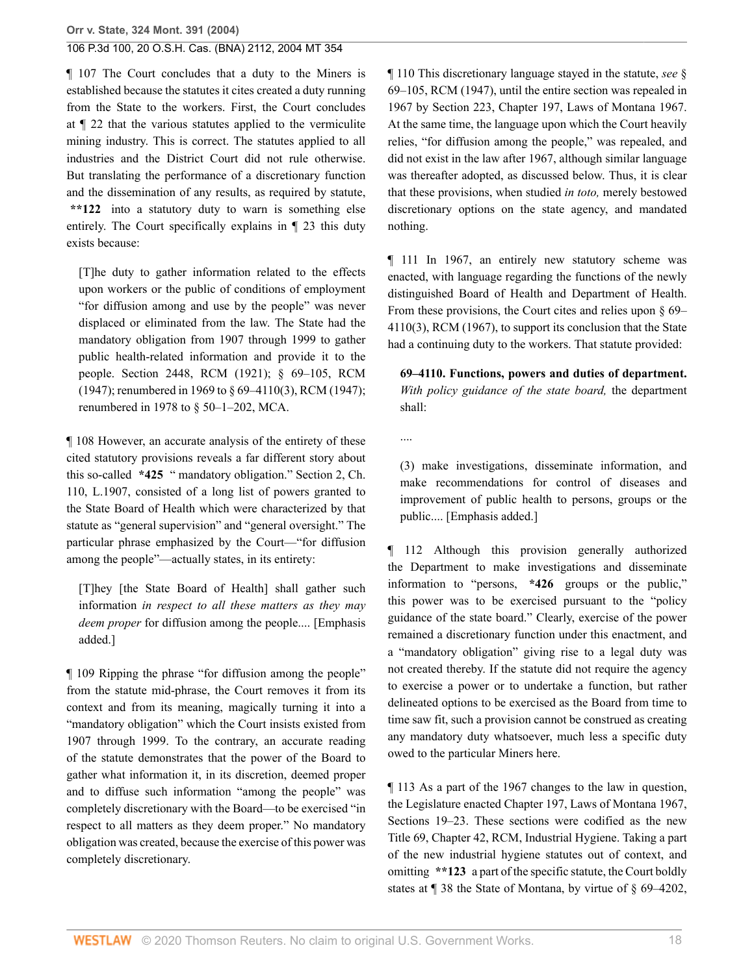¶ 107 The Court concludes that a duty to the Miners is established because the statutes it cites created a duty running from the State to the workers. First, the Court concludes at ¶ 22 that the various statutes applied to the vermiculite mining industry. This is correct. The statutes applied to all industries and the District Court did not rule otherwise. But translating the performance of a discretionary function and the dissemination of any results, as required by statute, **\*\*122** into a statutory duty to warn is something else entirely. The Court specifically explains in ¶ 23 this duty exists because:

[T]he duty to gather information related to the effects upon workers or the public of conditions of employment "for diffusion among and use by the people" was never displaced or eliminated from the law. The State had the mandatory obligation from 1907 through 1999 to gather public health-related information and provide it to the people. Section 2448, RCM (1921); § 69–105, RCM (1947); renumbered in 1969 to § 69–4110(3), RCM (1947); renumbered in 1978 to [§ 50–1–202, MCA.](http://www.westlaw.com/Link/Document/FullText?findType=L&pubNum=1002018&cite=MTST50-1-202&originatingDoc=I41a70aa7f79e11d99439b076ef9ec4de&refType=LQ&originationContext=document&vr=3.0&rs=cblt1.0&transitionType=DocumentItem&contextData=(sc.Search))

¶ 108 However, an accurate analysis of the entirety of these cited statutory provisions reveals a far different story about this so-called **\*425** " mandatory obligation." Section 2, Ch. 110, L.1907, consisted of a long list of powers granted to the State Board of Health which were characterized by that statute as "general supervision" and "general oversight." The particular phrase emphasized by the Court—"for diffusion among the people"—actually states, in its entirety:

[T]hey [the State Board of Health] shall gather such information *in respect to all these matters as they may deem proper* for diffusion among the people.... [Emphasis added.]

¶ 109 Ripping the phrase "for diffusion among the people" from the statute mid-phrase, the Court removes it from its context and from its meaning, magically turning it into a "mandatory obligation" which the Court insists existed from 1907 through 1999. To the contrary, an accurate reading of the statute demonstrates that the power of the Board to gather what information it, in its discretion, deemed proper and to diffuse such information "among the people" was completely discretionary with the Board—to be exercised "in respect to all matters as they deem proper." No mandatory obligation was created, because the exercise of this power was completely discretionary.

¶ 110 This discretionary language stayed in the statute, *see* § 69–105, RCM (1947), until the entire section was repealed in 1967 by Section 223, Chapter 197, Laws of Montana 1967. At the same time, the language upon which the Court heavily relies, "for diffusion among the people," was repealed, and did not exist in the law after 1967, although similar language was thereafter adopted, as discussed below. Thus, it is clear that these provisions, when studied *in toto,* merely bestowed discretionary options on the state agency, and mandated nothing.

¶ 111 In 1967, an entirely new statutory scheme was enacted, with language regarding the functions of the newly distinguished Board of Health and Department of Health. From these provisions, the Court cites and relies upon § 69– 4110(3), RCM (1967), to support its conclusion that the State had a continuing duty to the workers. That statute provided:

**69–4110. Functions, powers and duties of department.** *With policy guidance of the state board,* the department shall:

....

(3) make investigations, disseminate information, and make recommendations for control of diseases and improvement of public health to persons, groups or the public.... [Emphasis added.]

¶ 112 Although this provision generally authorized the Department to make investigations and disseminate information to "persons, **\*426** groups or the public," this power was to be exercised pursuant to the "policy guidance of the state board." Clearly, exercise of the power remained a discretionary function under this enactment, and a "mandatory obligation" giving rise to a legal duty was not created thereby. If the statute did not require the agency to exercise a power or to undertake a function, but rather delineated options to be exercised as the Board from time to time saw fit, such a provision cannot be construed as creating any mandatory duty whatsoever, much less a specific duty owed to the particular Miners here.

¶ 113 As a part of the 1967 changes to the law in question, the Legislature enacted Chapter 197, Laws of Montana 1967, Sections 19–23. These sections were codified as the new Title 69, Chapter 42, RCM, Industrial Hygiene. Taking a part of the new industrial hygiene statutes out of context, and omitting **\*\*123** a part of the specific statute, the Court boldly states at ¶ 38 the State of Montana, by virtue of § 69–4202,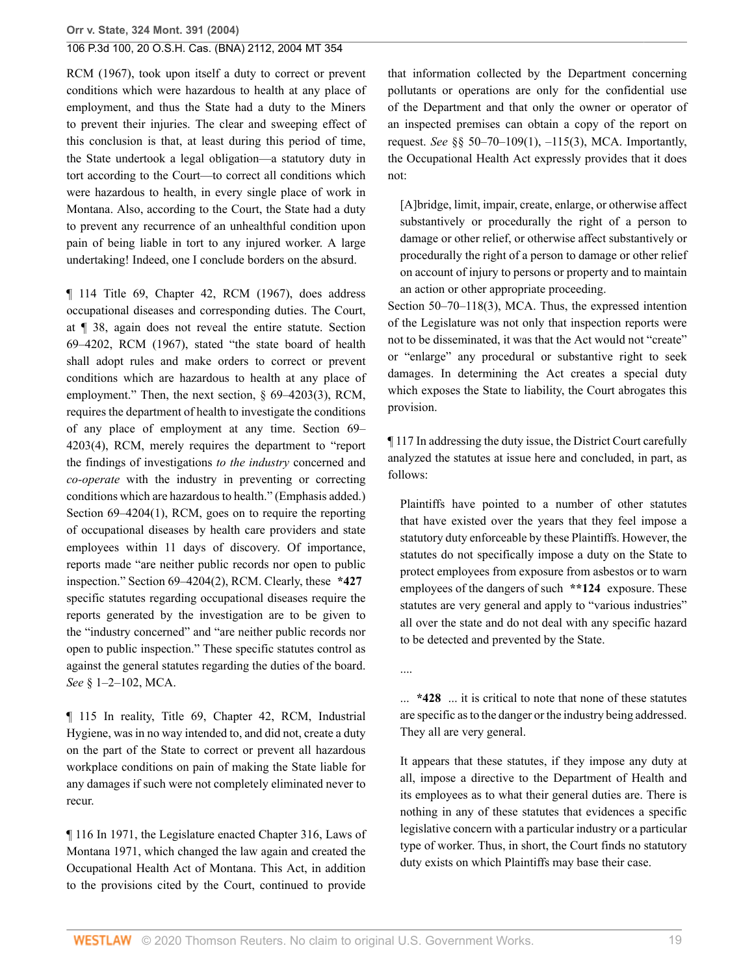RCM (1967), took upon itself a duty to correct or prevent conditions which were hazardous to health at any place of employment, and thus the State had a duty to the Miners to prevent their injuries. The clear and sweeping effect of this conclusion is that, at least during this period of time, the State undertook a legal obligation—a statutory duty in tort according to the Court—to correct all conditions which were hazardous to health, in every single place of work in Montana. Also, according to the Court, the State had a duty to prevent any recurrence of an unhealthful condition upon pain of being liable in tort to any injured worker. A large undertaking! Indeed, one I conclude borders on the absurd.

¶ 114 Title 69, Chapter 42, RCM (1967), does address occupational diseases and corresponding duties. The Court, at ¶ 38, again does not reveal the entire statute. Section 69–4202, RCM (1967), stated "the state board of health shall adopt rules and make orders to correct or prevent conditions which are hazardous to health at any place of employment." Then, the next section, § 69–4203(3), RCM, requires the department of health to investigate the conditions of any place of employment at any time. Section 69– 4203(4), RCM, merely requires the department to "report the findings of investigations *to the industry* concerned and *co-operate* with the industry in preventing or correcting conditions which are hazardous to health." (Emphasis added.) Section 69–4204(1), RCM, goes on to require the reporting of occupational diseases by health care providers and state employees within 11 days of discovery. Of importance, reports made "are neither public records nor open to public inspection." Section 69–4204(2), RCM. Clearly, these **\*427** specific statutes regarding occupational diseases require the reports generated by the investigation are to be given to the "industry concerned" and "are neither public records nor open to public inspection." These specific statutes control as against the general statutes regarding the duties of the board. *See* [§ 1–2–102, MCA.](http://www.westlaw.com/Link/Document/FullText?findType=L&pubNum=1002018&cite=MTST1-2-102&originatingDoc=I41a70aa7f79e11d99439b076ef9ec4de&refType=LQ&originationContext=document&vr=3.0&rs=cblt1.0&transitionType=DocumentItem&contextData=(sc.Search))

¶ 115 In reality, Title 69, Chapter 42, RCM, Industrial Hygiene, was in no way intended to, and did not, create a duty on the part of the State to correct or prevent all hazardous workplace conditions on pain of making the State liable for any damages if such were not completely eliminated never to recur.

¶ 116 In 1971, the Legislature enacted Chapter 316, Laws of Montana 1971, which changed the law again and created the Occupational Health Act of Montana. This Act, in addition to the provisions cited by the Court, continued to provide

that information collected by the Department concerning pollutants or operations are only for the confidential use of the Department and that only the owner or operator of an inspected premises can obtain a copy of the report on request. *See* [§§ 50–70–109\(1\), –115\(3\), MCA](http://www.westlaw.com/Link/Document/FullText?findType=L&pubNum=1002018&cite=MTST50-70-109&originatingDoc=I41a70aa7f79e11d99439b076ef9ec4de&refType=LQ&originationContext=document&vr=3.0&rs=cblt1.0&transitionType=DocumentItem&contextData=(sc.Search)). Importantly, the Occupational Health Act expressly provides that it does not:

[A]bridge, limit, impair, create, enlarge, or otherwise affect substantively or procedurally the right of a person to damage or other relief, or otherwise affect substantively or procedurally the right of a person to damage or other relief on account of injury to persons or property and to maintain an action or other appropriate proceeding.

[Section 50–70–118\(3\), MCA.](http://www.westlaw.com/Link/Document/FullText?findType=L&pubNum=1002018&cite=MTST50-70-118&originatingDoc=I41a70aa7f79e11d99439b076ef9ec4de&refType=LQ&originationContext=document&vr=3.0&rs=cblt1.0&transitionType=DocumentItem&contextData=(sc.Search)) Thus, the expressed intention of the Legislature was not only that inspection reports were not to be disseminated, it was that the Act would not "create" or "enlarge" any procedural or substantive right to seek damages. In determining the Act creates a special duty which exposes the State to liability, the Court abrogates this provision.

¶ 117 In addressing the duty issue, the District Court carefully analyzed the statutes at issue here and concluded, in part, as follows:

Plaintiffs have pointed to a number of other statutes that have existed over the years that they feel impose a statutory duty enforceable by these Plaintiffs. However, the statutes do not specifically impose a duty on the State to protect employees from exposure from asbestos or to warn employees of the dangers of such **\*\*124** exposure. These statutes are very general and apply to "various industries" all over the state and do not deal with any specific hazard to be detected and prevented by the State.

....

... **\*428** ... it is critical to note that none of these statutes are specific as to the danger or the industry being addressed. They all are very general.

It appears that these statutes, if they impose any duty at all, impose a directive to the Department of Health and its employees as to what their general duties are. There is nothing in any of these statutes that evidences a specific legislative concern with a particular industry or a particular type of worker. Thus, in short, the Court finds no statutory duty exists on which Plaintiffs may base their case.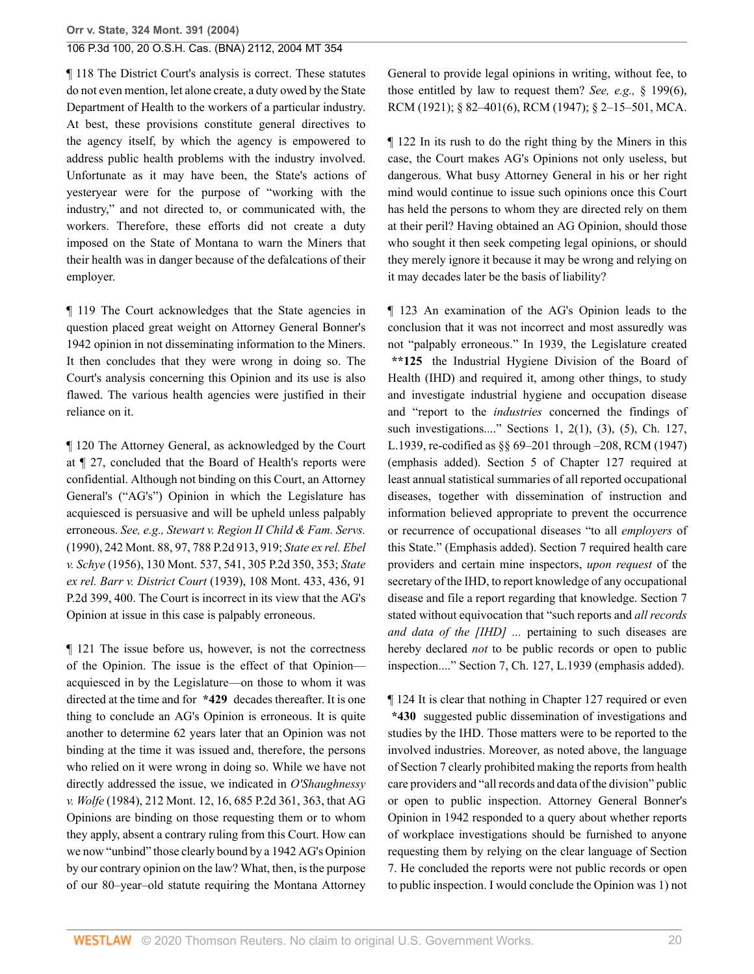¶ 118 The District Court's analysis is correct. These statutes do not even mention, let alone create, a duty owed by the State Department of Health to the workers of a particular industry. At best, these provisions constitute general directives to the agency itself, by which the agency is empowered to address public health problems with the industry involved. Unfortunate as it may have been, the State's actions of yesteryear were for the purpose of "working with the industry," and not directed to, or communicated with, the workers. Therefore, these efforts did not create a duty imposed on the State of Montana to warn the Miners that their health was in danger because of the defalcations of their employer.

¶ 119 The Court acknowledges that the State agencies in question placed great weight on Attorney General Bonner's 1942 opinion in not disseminating information to the Miners. It then concludes that they were wrong in doing so. The Court's analysis concerning this Opinion and its use is also flawed. The various health agencies were justified in their reliance on it.

¶ 120 The Attorney General, as acknowledged by the Court at ¶ 27, concluded that the Board of Health's reports were confidential. Although not binding on this Court, an Attorney General's ("AG's") Opinion in which the Legislature has acquiesced is persuasive and will be upheld unless palpably erroneous. *See, e.g., [Stewart v. Region II Child & Fam. Servs.](http://www.westlaw.com/Link/Document/FullText?findType=Y&serNum=1990051279&pubNum=661&originatingDoc=I41a70aa7f79e11d99439b076ef9ec4de&refType=RP&fi=co_pp_sp_661_919&originationContext=document&vr=3.0&rs=cblt1.0&transitionType=DocumentItem&contextData=(sc.Search)#co_pp_sp_661_919)* [\(1990\), 242 Mont. 88, 97, 788 P.2d 913, 919;](http://www.westlaw.com/Link/Document/FullText?findType=Y&serNum=1990051279&pubNum=661&originatingDoc=I41a70aa7f79e11d99439b076ef9ec4de&refType=RP&fi=co_pp_sp_661_919&originationContext=document&vr=3.0&rs=cblt1.0&transitionType=DocumentItem&contextData=(sc.Search)#co_pp_sp_661_919) *[State ex rel. Ebel](http://www.westlaw.com/Link/Document/FullText?findType=Y&serNum=1957117356&pubNum=661&originatingDoc=I41a70aa7f79e11d99439b076ef9ec4de&refType=RP&fi=co_pp_sp_661_353&originationContext=document&vr=3.0&rs=cblt1.0&transitionType=DocumentItem&contextData=(sc.Search)#co_pp_sp_661_353) v. Schye* [\(1956\), 130 Mont. 537, 541, 305 P.2d 350, 353;](http://www.westlaw.com/Link/Document/FullText?findType=Y&serNum=1957117356&pubNum=661&originatingDoc=I41a70aa7f79e11d99439b076ef9ec4de&refType=RP&fi=co_pp_sp_661_353&originationContext=document&vr=3.0&rs=cblt1.0&transitionType=DocumentItem&contextData=(sc.Search)#co_pp_sp_661_353) *[State](http://www.westlaw.com/Link/Document/FullText?findType=Y&serNum=1939103742&pubNum=661&originatingDoc=I41a70aa7f79e11d99439b076ef9ec4de&refType=RP&fi=co_pp_sp_661_400&originationContext=document&vr=3.0&rs=cblt1.0&transitionType=DocumentItem&contextData=(sc.Search)#co_pp_sp_661_400) ex rel. Barr v. District Court* [\(1939\), 108 Mont. 433, 436, 91](http://www.westlaw.com/Link/Document/FullText?findType=Y&serNum=1939103742&pubNum=661&originatingDoc=I41a70aa7f79e11d99439b076ef9ec4de&refType=RP&fi=co_pp_sp_661_400&originationContext=document&vr=3.0&rs=cblt1.0&transitionType=DocumentItem&contextData=(sc.Search)#co_pp_sp_661_400) [P.2d 399, 400.](http://www.westlaw.com/Link/Document/FullText?findType=Y&serNum=1939103742&pubNum=661&originatingDoc=I41a70aa7f79e11d99439b076ef9ec4de&refType=RP&fi=co_pp_sp_661_400&originationContext=document&vr=3.0&rs=cblt1.0&transitionType=DocumentItem&contextData=(sc.Search)#co_pp_sp_661_400) The Court is incorrect in its view that the AG's Opinion at issue in this case is palpably erroneous.

¶ 121 The issue before us, however, is not the correctness of the Opinion. The issue is the effect of that Opinion acquiesced in by the Legislature—on those to whom it was directed at the time and for **\*429** decades thereafter. It is one thing to conclude an AG's Opinion is erroneous. It is quite another to determine 62 years later that an Opinion was not binding at the time it was issued and, therefore, the persons who relied on it were wrong in doing so. While we have not directly addressed the issue, we indicated in *[O'Shaughnessy](http://www.westlaw.com/Link/Document/FullText?findType=Y&serNum=1984139557&pubNum=661&originatingDoc=I41a70aa7f79e11d99439b076ef9ec4de&refType=RP&fi=co_pp_sp_661_363&originationContext=document&vr=3.0&rs=cblt1.0&transitionType=DocumentItem&contextData=(sc.Search)#co_pp_sp_661_363) v. Wolfe* [\(1984\), 212 Mont. 12, 16, 685 P.2d 361, 363,](http://www.westlaw.com/Link/Document/FullText?findType=Y&serNum=1984139557&pubNum=661&originatingDoc=I41a70aa7f79e11d99439b076ef9ec4de&refType=RP&fi=co_pp_sp_661_363&originationContext=document&vr=3.0&rs=cblt1.0&transitionType=DocumentItem&contextData=(sc.Search)#co_pp_sp_661_363) that AG Opinions are binding on those requesting them or to whom they apply, absent a contrary ruling from this Court. How can we now "unbind" those clearly bound by a 1942 AG's Opinion by our contrary opinion on the law? What, then, is the purpose of our 80–year–old statute requiring the Montana Attorney

General to provide legal opinions in writing, without fee, to those entitled by law to request them? *See, e.g.,* § 199(6), RCM (1921); § 82–401(6), RCM (1947); [§ 2–15–501, MCA.](http://www.westlaw.com/Link/Document/FullText?findType=L&pubNum=1002018&cite=MTST2-15-501&originatingDoc=I41a70aa7f79e11d99439b076ef9ec4de&refType=LQ&originationContext=document&vr=3.0&rs=cblt1.0&transitionType=DocumentItem&contextData=(sc.Search))

¶ 122 In its rush to do the right thing by the Miners in this case, the Court makes AG's Opinions not only useless, but dangerous. What busy Attorney General in his or her right mind would continue to issue such opinions once this Court has held the persons to whom they are directed rely on them at their peril? Having obtained an AG Opinion, should those who sought it then seek competing legal opinions, or should they merely ignore it because it may be wrong and relying on it may decades later be the basis of liability?

¶ 123 An examination of the AG's Opinion leads to the conclusion that it was not incorrect and most assuredly was not "palpably erroneous." In 1939, the Legislature created **\*\*125** the Industrial Hygiene Division of the Board of Health (IHD) and required it, among other things, to study and investigate industrial hygiene and occupation disease and "report to the *industries* concerned the findings of such investigations...." Sections 1, 2(1), (3), (5), Ch. 127, L.1939, re-codified as §§ 69–201 through –208, RCM (1947) (emphasis added). Section 5 of Chapter 127 required at least annual statistical summaries of all reported occupational diseases, together with dissemination of instruction and information believed appropriate to prevent the occurrence or recurrence of occupational diseases "to all *employers* of this State." (Emphasis added). Section 7 required health care providers and certain mine inspectors, *upon request* of the secretary of the IHD, to report knowledge of any occupational disease and file a report regarding that knowledge. Section 7 stated without equivocation that "such reports and *all records and data of the [IHD] ...* pertaining to such diseases are hereby declared *not* to be public records or open to public inspection...." Section 7, Ch. 127, L.1939 (emphasis added).

¶ 124 It is clear that nothing in Chapter 127 required or even **\*430** suggested public dissemination of investigations and studies by the IHD. Those matters were to be reported to the involved industries. Moreover, as noted above, the language of Section 7 clearly prohibited making the reports from health care providers and "all records and data of the division" public or open to public inspection. Attorney General Bonner's Opinion in 1942 responded to a query about whether reports of workplace investigations should be furnished to anyone requesting them by relying on the clear language of Section 7. He concluded the reports were not public records or open to public inspection. I would conclude the Opinion was 1) not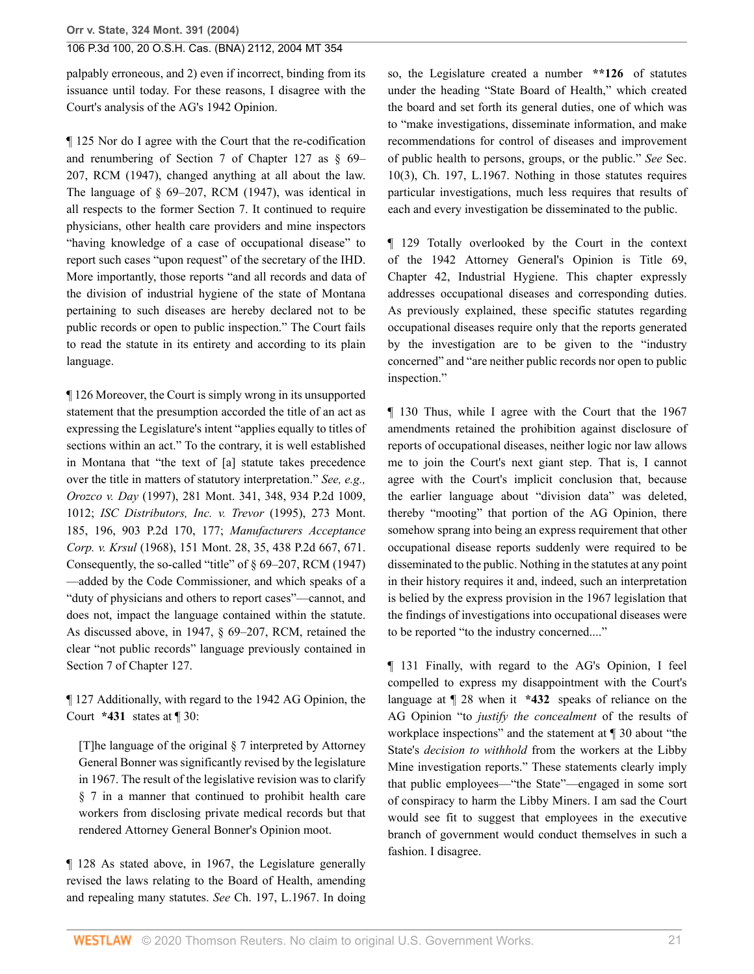palpably erroneous, and 2) even if incorrect, binding from its issuance until today. For these reasons, I disagree with the Court's analysis of the AG's 1942 Opinion.

¶ 125 Nor do I agree with the Court that the re-codification and renumbering of Section 7 of Chapter 127 as § 69– 207, RCM (1947), changed anything at all about the law. The language of § 69–207, RCM (1947), was identical in all respects to the former Section 7. It continued to require physicians, other health care providers and mine inspectors "having knowledge of a case of occupational disease" to report such cases "upon request" of the secretary of the IHD. More importantly, those reports "and all records and data of the division of industrial hygiene of the state of Montana pertaining to such diseases are hereby declared not to be public records or open to public inspection." The Court fails to read the statute in its entirety and according to its plain language.

¶ 126 Moreover, the Court is simply wrong in its unsupported statement that the presumption accorded the title of an act as expressing the Legislature's intent "applies equally to titles of sections within an act." To the contrary, it is well established in Montana that "the text of [a] statute takes precedence over the title in matters of statutory interpretation." *See, e.g., Orozco v. Day* [\(1997\), 281 Mont. 341, 348, 934 P.2d 1009,](http://www.westlaw.com/Link/Document/FullText?findType=Y&serNum=1997069343&pubNum=661&originatingDoc=I41a70aa7f79e11d99439b076ef9ec4de&refType=RP&fi=co_pp_sp_661_1012&originationContext=document&vr=3.0&rs=cblt1.0&transitionType=DocumentItem&contextData=(sc.Search)#co_pp_sp_661_1012) [1012;](http://www.westlaw.com/Link/Document/FullText?findType=Y&serNum=1997069343&pubNum=661&originatingDoc=I41a70aa7f79e11d99439b076ef9ec4de&refType=RP&fi=co_pp_sp_661_1012&originationContext=document&vr=3.0&rs=cblt1.0&transitionType=DocumentItem&contextData=(sc.Search)#co_pp_sp_661_1012) *[ISC Distributors, Inc. v. Trevor](http://www.westlaw.com/Link/Document/FullText?findType=Y&serNum=1995176202&pubNum=661&originatingDoc=I41a70aa7f79e11d99439b076ef9ec4de&refType=RP&fi=co_pp_sp_661_177&originationContext=document&vr=3.0&rs=cblt1.0&transitionType=DocumentItem&contextData=(sc.Search)#co_pp_sp_661_177)* (1995), 273 Mont. [185, 196, 903 P.2d 170, 177;](http://www.westlaw.com/Link/Document/FullText?findType=Y&serNum=1995176202&pubNum=661&originatingDoc=I41a70aa7f79e11d99439b076ef9ec4de&refType=RP&fi=co_pp_sp_661_177&originationContext=document&vr=3.0&rs=cblt1.0&transitionType=DocumentItem&contextData=(sc.Search)#co_pp_sp_661_177) *[Manufacturers Acceptance](http://www.westlaw.com/Link/Document/FullText?findType=Y&serNum=1968128491&pubNum=661&originatingDoc=I41a70aa7f79e11d99439b076ef9ec4de&refType=RP&fi=co_pp_sp_661_671&originationContext=document&vr=3.0&rs=cblt1.0&transitionType=DocumentItem&contextData=(sc.Search)#co_pp_sp_661_671) Corp. v. Krsul* [\(1968\), 151 Mont. 28, 35, 438 P.2d 667, 671.](http://www.westlaw.com/Link/Document/FullText?findType=Y&serNum=1968128491&pubNum=661&originatingDoc=I41a70aa7f79e11d99439b076ef9ec4de&refType=RP&fi=co_pp_sp_661_671&originationContext=document&vr=3.0&rs=cblt1.0&transitionType=DocumentItem&contextData=(sc.Search)#co_pp_sp_661_671) Consequently, the so-called "title" of § 69–207, RCM (1947) —added by the Code Commissioner, and which speaks of a "duty of physicians and others to report cases"—cannot, and does not, impact the language contained within the statute. As discussed above, in 1947, § 69–207, RCM, retained the clear "not public records" language previously contained in Section 7 of Chapter 127.

¶ 127 Additionally, with regard to the 1942 AG Opinion, the Court **\*431** states at ¶ 30:

[T]he language of the original § 7 interpreted by Attorney General Bonner was significantly revised by the legislature in 1967. The result of the legislative revision was to clarify § 7 in a manner that continued to prohibit health care workers from disclosing private medical records but that rendered Attorney General Bonner's Opinion moot.

¶ 128 As stated above, in 1967, the Legislature generally revised the laws relating to the Board of Health, amending and repealing many statutes. *See* Ch. 197, L.1967. In doing so, the Legislature created a number **\*\*126** of statutes under the heading "State Board of Health," which created the board and set forth its general duties, one of which was to "make investigations, disseminate information, and make recommendations for control of diseases and improvement of public health to persons, groups, or the public." *See* Sec. 10(3), Ch. 197, L.1967. Nothing in those statutes requires particular investigations, much less requires that results of each and every investigation be disseminated to the public.

¶ 129 Totally overlooked by the Court in the context of the 1942 Attorney General's Opinion is Title 69, Chapter 42, Industrial Hygiene. This chapter expressly addresses occupational diseases and corresponding duties. As previously explained, these specific statutes regarding occupational diseases require only that the reports generated by the investigation are to be given to the "industry concerned" and "are neither public records nor open to public inspection."

¶ 130 Thus, while I agree with the Court that the 1967 amendments retained the prohibition against disclosure of reports of occupational diseases, neither logic nor law allows me to join the Court's next giant step. That is, I cannot agree with the Court's implicit conclusion that, because the earlier language about "division data" was deleted, thereby "mooting" that portion of the AG Opinion, there somehow sprang into being an express requirement that other occupational disease reports suddenly were required to be disseminated to the public. Nothing in the statutes at any point in their history requires it and, indeed, such an interpretation is belied by the express provision in the 1967 legislation that the findings of investigations into occupational diseases were to be reported "to the industry concerned...."

¶ 131 Finally, with regard to the AG's Opinion, I feel compelled to express my disappointment with the Court's language at ¶ 28 when it **\*432** speaks of reliance on the AG Opinion "to *justify the concealment* of the results of workplace inspections" and the statement at ¶ 30 about "the State's *decision to withhold* from the workers at the Libby Mine investigation reports." These statements clearly imply that public employees—"the State"—engaged in some sort of conspiracy to harm the Libby Miners. I am sad the Court would see fit to suggest that employees in the executive branch of government would conduct themselves in such a fashion. I disagree.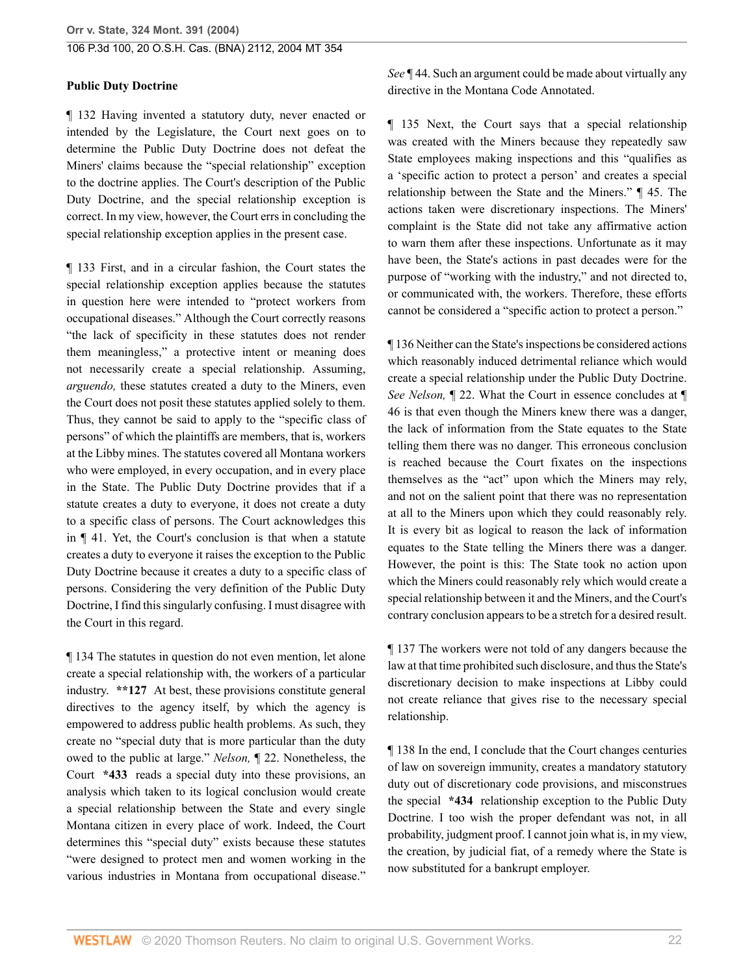### **Public Duty Doctrine**

¶ 132 Having invented a statutory duty, never enacted or intended by the Legislature, the Court next goes on to determine the Public Duty Doctrine does not defeat the Miners' claims because the "special relationship" exception to the doctrine applies. The Court's description of the Public Duty Doctrine, and the special relationship exception is correct. In my view, however, the Court errs in concluding the special relationship exception applies in the present case.

¶ 133 First, and in a circular fashion, the Court states the special relationship exception applies because the statutes in question here were intended to "protect workers from occupational diseases." Although the Court correctly reasons "the lack of specificity in these statutes does not render them meaningless," a protective intent or meaning does not necessarily create a special relationship. Assuming, *arguendo,* these statutes created a duty to the Miners, even the Court does not posit these statutes applied solely to them. Thus, they cannot be said to apply to the "specific class of persons" of which the plaintiffs are members, that is, workers at the Libby mines. The statutes covered all Montana workers who were employed, in every occupation, and in every place in the State. The Public Duty Doctrine provides that if a statute creates a duty to everyone, it does not create a duty to a specific class of persons. The Court acknowledges this in ¶ 41. Yet, the Court's conclusion is that when a statute creates a duty to everyone it raises the exception to the Public Duty Doctrine because it creates a duty to a specific class of persons. Considering the very definition of the Public Duty Doctrine, I find this singularly confusing. I must disagree with the Court in this regard.

¶ 134 The statutes in question do not even mention, let alone create a special relationship with, the workers of a particular industry. **\*\*127** At best, these provisions constitute general directives to the agency itself, by which the agency is empowered to address public health problems. As such, they create no "special duty that is more particular than the duty owed to the public at large." *Nelson,* ¶ 22. Nonetheless, the Court **\*433** reads a special duty into these provisions, an analysis which taken to its logical conclusion would create a special relationship between the State and every single Montana citizen in every place of work. Indeed, the Court determines this "special duty" exists because these statutes "were designed to protect men and women working in the various industries in Montana from occupational disease."

*See* ¶ 44. Such an argument could be made about virtually any directive in the Montana Code Annotated.

¶ 135 Next, the Court says that a special relationship was created with the Miners because they repeatedly saw State employees making inspections and this "qualifies as a 'specific action to protect a person' and creates a special relationship between the State and the Miners." ¶ 45. The actions taken were discretionary inspections. The Miners' complaint is the State did not take any affirmative action to warn them after these inspections. Unfortunate as it may have been, the State's actions in past decades were for the purpose of "working with the industry," and not directed to, or communicated with, the workers. Therefore, these efforts cannot be considered a "specific action to protect a person."

¶ 136 Neither can the State's inspections be considered actions which reasonably induced detrimental reliance which would create a special relationship under the Public Duty Doctrine. *See Nelson,* ¶ 22. What the Court in essence concludes at ¶ 46 is that even though the Miners knew there was a danger, the lack of information from the State equates to the State telling them there was no danger. This erroneous conclusion is reached because the Court fixates on the inspections themselves as the "act" upon which the Miners may rely, and not on the salient point that there was no representation at all to the Miners upon which they could reasonably rely. It is every bit as logical to reason the lack of information equates to the State telling the Miners there was a danger. However, the point is this: The State took no action upon which the Miners could reasonably rely which would create a special relationship between it and the Miners, and the Court's contrary conclusion appears to be a stretch for a desired result.

¶ 137 The workers were not told of any dangers because the law at that time prohibited such disclosure, and thus the State's discretionary decision to make inspections at Libby could not create reliance that gives rise to the necessary special relationship.

¶ 138 In the end, I conclude that the Court changes centuries of law on sovereign immunity, creates a mandatory statutory duty out of discretionary code provisions, and misconstrues the special **\*434** relationship exception to the Public Duty Doctrine. I too wish the proper defendant was not, in all probability, judgment proof. I cannot join what is, in my view, the creation, by judicial fiat, of a remedy where the State is now substituted for a bankrupt employer.